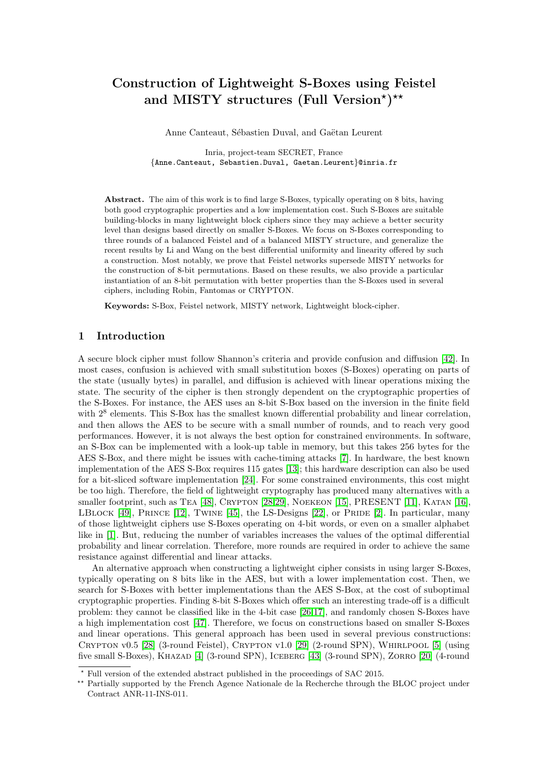# Construction of Lightweight S-Boxes using Feistel and MISTY structures (Full Version\*)\*\*

Anne Canteaut, Sébastien Duval, and Gaëtan Leurent

Inria, project-team SECRET, France {Anne.Canteaut, Sebastien.Duval, Gaetan.Leurent}@inria.fr

Abstract. The aim of this work is to find large S-Boxes, typically operating on 8 bits, having both good cryptographic properties and a low implementation cost. Such S-Boxes are suitable building-blocks in many lightweight block ciphers since they may achieve a better security level than designs based directly on smaller S-Boxes. We focus on S-Boxes corresponding to three rounds of a balanced Feistel and of a balanced MISTY structure, and generalize the recent results by Li and Wang on the best differential uniformity and linearity offered by such a construction. Most notably, we prove that Feistel networks supersede MISTY networks for the construction of 8-bit permutations. Based on these results, we also provide a particular instantiation of an 8-bit permutation with better properties than the S-Boxes used in several ciphers, including Robin, Fantomas or CRYPTON.

Keywords: S-Box, Feistel network, MISTY network, Lightweight block-cipher.

# 1 Introduction

A secure block cipher must follow Shannon's criteria and provide confusion and diffusion [\[42\]](#page-21-0). In most cases, confusion is achieved with small substitution boxes (S-Boxes) operating on parts of the state (usually bytes) in parallel, and diffusion is achieved with linear operations mixing the state. The security of the cipher is then strongly dependent on the cryptographic properties of the S-Boxes. For instance, the AES uses an 8-bit S-Box based on the inversion in the finite field with  $2<sup>8</sup>$  elements. This S-Box has the smallest known differential probability and linear correlation, and then allows the AES to be secure with a small number of rounds, and to reach very good performances. However, it is not always the best option for constrained environments. In software, an S-Box can be implemented with a look-up table in memory, but this takes 256 bytes for the AES S-Box, and there might be issues with cache-timing attacks [\[7\]](#page-20-0). In hardware, the best known implementation of the AES S-Box requires 115 gates [\[13\]](#page-20-1); this hardware description can also be used for a bit-sliced software implementation [\[24\]](#page-21-1). For some constrained environments, this cost might be too high. Therefore, the field of lightweight cryptography has produced many alternatives with a smaller footprint, such as TEA [\[48\]](#page-21-2), CRYPTON [\[28](#page-21-3)[,29\]](#page-21-4), NOEKEON [\[15\]](#page-20-2), PRESENT [\[11\]](#page-20-3), KATAN [\[16\]](#page-20-4), LBLOCK  $[49]$ , PRINCE  $[12]$ , TWINE  $[45]$ , the LS-Designs  $[22]$ , or PRIDE  $[2]$ . In particular, many of those lightweight ciphers use S-Boxes operating on 4-bit words, or even on a smaller alphabet like in [\[1\]](#page-20-7). But, reducing the number of variables increases the values of the optimal differential probability and linear correlation. Therefore, more rounds are required in order to achieve the same resistance against differential and linear attacks.

An alternative approach when constructing a lightweight cipher consists in using larger S-Boxes, typically operating on 8 bits like in the AES, but with a lower implementation cost. Then, we search for S-Boxes with better implementations than the AES S-Box, at the cost of suboptimal cryptographic properties. Finding 8-bit S-Boxes which offer such an interesting trade-off is a difficult problem: they cannot be classified like in the 4-bit case [\[26,](#page-21-8)[17\]](#page-20-8), and randomly chosen S-Boxes have a high implementation cost [\[47\]](#page-21-9). Therefore, we focus on constructions based on smaller S-Boxes and linear operations. This general approach has been used in several previous constructions: CRYPTON v0.5 [\[28\]](#page-21-3) (3-round Feistel), CRYPTON v1.0 [\[29\]](#page-21-4) (2-round SPN), WHIRLPOOL [\[5\]](#page-20-9) (using five small S-Boxes), KHAZAD [\[4\]](#page-20-10) (3-round SPN), ICEBERG [\[43\]](#page-21-10) (3-round SPN), ZORRO [\[20\]](#page-21-11) (4-round

<sup>?</sup> Full version of the extended abstract published in the proceedings of SAC 2015.

<sup>\*\*</sup> Partially supported by the French Agence Nationale de la Recherche through the BLOC project under Contract ANR-11-INS-011.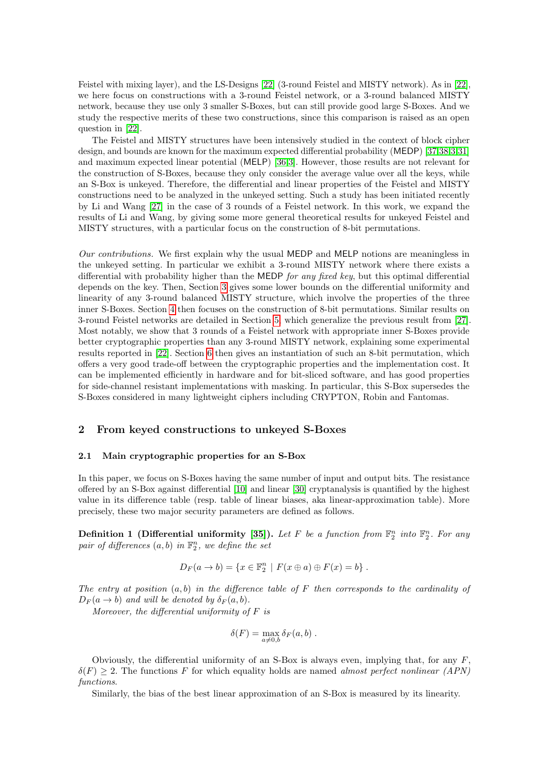Feistel with mixing layer), and the LS-Designs [\[22\]](#page-21-7) (3-round Feistel and MISTY network). As in [\[22\]](#page-21-7), we here focus on constructions with a 3-round Feistel network, or a 3-round balanced MISTY network, because they use only 3 smaller S-Boxes, but can still provide good large S-Boxes. And we study the respective merits of these two constructions, since this comparison is raised as an open question in [\[22\]](#page-21-7).

The Feistel and MISTY structures have been intensively studied in the context of block cipher design, and bounds are known for the maximum expected differential probability (MEDP) [\[37](#page-21-12)[,38](#page-21-13)[,3,](#page-20-11)[31\]](#page-21-14) and maximum expected linear potential (MELP) [\[36,](#page-21-15)[3\]](#page-20-11). However, those results are not relevant for the construction of S-Boxes, because they only consider the average value over all the keys, while an S-Box is unkeyed. Therefore, the differential and linear properties of the Feistel and MISTY constructions need to be analyzed in the unkeyed setting. Such a study has been initiated recently by Li and Wang [\[27\]](#page-21-16) in the case of 3 rounds of a Feistel network. In this work, we expand the results of Li and Wang, by giving some more general theoretical results for unkeyed Feistel and MISTY structures, with a particular focus on the construction of 8-bit permutations.

Our contributions. We first explain why the usual MEDP and MELP notions are meaningless in the unkeyed setting. In particular we exhibit a 3-round MISTY network where there exists a differential with probability higher than the MEDP for any fixed key, but this optimal differential depends on the key. Then, Section [3](#page-4-0) gives some lower bounds on the differential uniformity and linearity of any 3-round balanced MISTY structure, which involve the properties of the three inner S-Boxes. Section [4](#page-9-0) then focuses on the construction of 8-bit permutations. Similar results on 3-round Feistel networks are detailed in Section [5,](#page-13-0) which generalize the previous result from [\[27\]](#page-21-16). Most notably, we show that 3 rounds of a Feistel network with appropriate inner S-Boxes provide better cryptographic properties than any 3-round MISTY network, explaining some experimental results reported in [\[22\]](#page-21-7). Section [6](#page-17-0) then gives an instantiation of such an 8-bit permutation, which offers a very good trade-off between the cryptographic properties and the implementation cost. It can be implemented efficiently in hardware and for bit-sliced software, and has good properties for side-channel resistant implementations with masking. In particular, this S-Box supersedes the S-Boxes considered in many lightweight ciphers including CRYPTON, Robin and Fantomas.

# 2 From keyed constructions to unkeyed S-Boxes

## <span id="page-1-0"></span>2.1 Main cryptographic properties for an S-Box

In this paper, we focus on S-Boxes having the same number of input and output bits. The resistance offered by an S-Box against differential [\[10\]](#page-20-12) and linear [\[30\]](#page-21-17) cryptanalysis is quantified by the highest value in its difference table (resp. table of linear biases, aka linear-approximation table). More precisely, these two major security parameters are defined as follows.

**Definition 1 (Differential uniformity [\[35\]](#page-21-18)).** Let F be a function from  $\mathbb{F}_2^n$  into  $\mathbb{F}_2^n$ . For any pair of differences  $(a, b)$  in  $\mathbb{F}_2^n$ , we define the set

$$
D_F(a \to b) = \{x \in \mathbb{F}_2^n \mid F(x \oplus a) \oplus F(x) = b\}.
$$

The entry at position  $(a, b)$  in the difference table of F then corresponds to the cardinality of  $D_F(a \rightarrow b)$  and will be denoted by  $\delta_F(a, b)$ .

Moreover, the differential uniformity of  $F$  is

$$
\delta(F) = \max_{a \neq 0,b} \delta_F(a,b) .
$$

Obviously, the differential uniformity of an S-Box is always even, implying that, for any  $F$ .  $\delta(F) \geq 2$ . The functions F for which equality holds are named almost perfect nonlinear (APN) functions.

Similarly, the bias of the best linear approximation of an S-Box is measured by its linearity.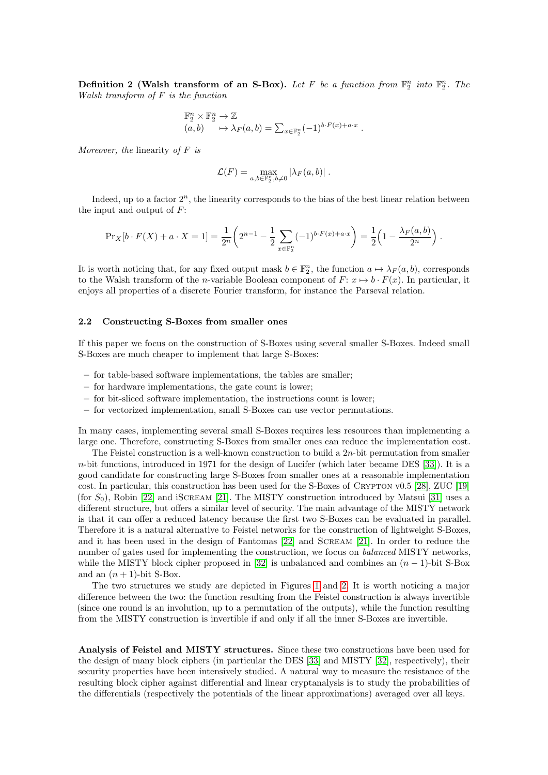Definition 2 (Walsh transform of an S-Box). Let F be a function from  $\mathbb{F}_2^n$  into  $\mathbb{F}_2^n$ . The Walsh transform of F is the function

$$
\mathbb{F}_2^n \times \mathbb{F}_2^n \to \mathbb{Z}
$$
  

$$
(a, b) \qquad \mapsto \lambda_F(a, b) = \sum_{x \in \mathbb{F}_2^n} (-1)^{b \cdot F(x) + a \cdot x}
$$

.

Moreover, the linearity of  $F$  is

$$
\mathcal{L}(F) = \max_{a,b \in \mathbb{F}_2^n, b \neq 0} |\lambda_F(a,b)|.
$$

Indeed, up to a factor  $2^n$ , the linearity corresponds to the bias of the best linear relation between the input and output of  $F$ :

$$
\Pr_X[b \cdot F(X) + a \cdot X = 1] = \frac{1}{2^n} \left( 2^{n-1} - \frac{1}{2} \sum_{x \in \mathbb{F}_2^n} (-1)^{b \cdot F(x) + a \cdot x} \right) = \frac{1}{2} \left( 1 - \frac{\lambda_F(a, b)}{2^n} \right).
$$

It is worth noticing that, for any fixed output mask  $b \in \mathbb{F}_2^n$ , the function  $a \mapsto \lambda_F(a, b)$ , corresponds to the Walsh transform of the *n*-variable Boolean component of  $F: x \mapsto b \cdot F(x)$ . In particular, it enjoys all properties of a discrete Fourier transform, for instance the Parseval relation.

# 2.2 Constructing S-Boxes from smaller ones

If this paper we focus on the construction of S-Boxes using several smaller S-Boxes. Indeed small S-Boxes are much cheaper to implement that large S-Boxes:

- for table-based software implementations, the tables are smaller;
- for hardware implementations, the gate count is lower;
- for bit-sliced software implementation, the instructions count is lower;
- for vectorized implementation, small S-Boxes can use vector permutations.

In many cases, implementing several small S-Boxes requires less resources than implementing a large one. Therefore, constructing S-Boxes from smaller ones can reduce the implementation cost.

The Feistel construction is a well-known construction to build a  $2n$ -bit permutation from smaller n-bit functions, introduced in 1971 for the design of Lucifer (which later became DES [\[33\]](#page-21-19)). It is a good candidate for constructing large S-Boxes from smaller ones at a reasonable implementation cost. In particular, this construction has been used for the S-Boxes of Crypton v0.5 [\[28\]](#page-21-3), ZUC [\[19\]](#page-20-13) (for  $S_0$ ), Robin [\[22\]](#page-21-7) and iSCREAM [\[21\]](#page-21-20). The MISTY construction introduced by Matsui [\[31\]](#page-21-14) uses a different structure, but offers a similar level of security. The main advantage of the MISTY network is that it can offer a reduced latency because the first two S-Boxes can be evaluated in parallel. Therefore it is a natural alternative to Feistel networks for the construction of lightweight S-Boxes, and it has been used in the design of Fantomas [\[22\]](#page-21-7) and Scream [\[21\]](#page-21-20). In order to reduce the number of gates used for implementing the construction, we focus on *balanced* MISTY networks, while the MISTY block cipher proposed in [\[32\]](#page-21-21) is unbalanced and combines an  $(n-1)$ -bit S-Box and an  $(n + 1)$ -bit S-Box.

The two structures we study are depicted in Figures [1](#page-3-0) and [2.](#page-3-1) It is worth noticing a major difference between the two: the function resulting from the Feistel construction is always invertible (since one round is an involution, up to a permutation of the outputs), while the function resulting from the MISTY construction is invertible if and only if all the inner S-Boxes are invertible.

Analysis of Feistel and MISTY structures. Since these two constructions have been used for the design of many block ciphers (in particular the DES [\[33\]](#page-21-19) and MISTY [\[32\]](#page-21-21), respectively), their security properties have been intensively studied. A natural way to measure the resistance of the resulting block cipher against differential and linear cryptanalysis is to study the probabilities of the differentials (respectively the potentials of the linear approximations) averaged over all keys.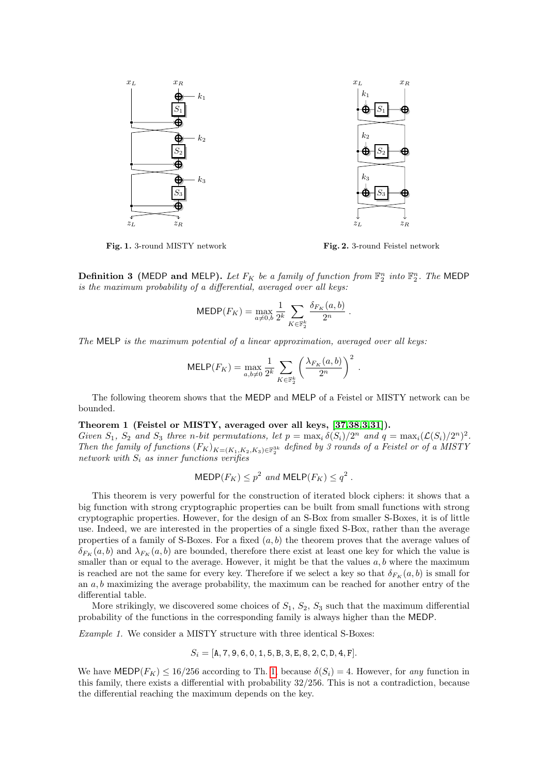

<span id="page-3-0"></span>Fig. 1. 3-round MISTY network

<span id="page-3-1"></span>Fig. 2. 3-round Feistel network

**Definition 3** (MEDP and MELP). Let  $F_K$  be a family of function from  $\mathbb{F}_2^n$  into  $\mathbb{F}_2^n$ . The MEDP is the maximum probability of a differential, averaged over all keys:

$$
\text{MEDP}(F_K) = \max_{a \neq 0, b} \frac{1}{2^k} \sum_{K \in \mathbb{F}_2^k} \frac{\delta_{F_K}(a, b)}{2^n} \, .
$$

The MELP is the maximum potential of a linear approximation, averaged over all keys:

$$
\text{MELP}(F_K) = \max_{a,b \neq 0} \frac{1}{2^k} \sum_{K \in \mathbb{F}_2^k} \left( \frac{\lambda_{F_K}(a,b)}{2^n} \right)^2.
$$

<span id="page-3-2"></span>The following theorem shows that the MEDP and MELP of a Feistel or MISTY network can be bounded.

#### Theorem 1 (Feistel or MISTY, averaged over all keys, [\[37,](#page-21-12)[38,](#page-21-13)[3,](#page-20-11)[31\]](#page-21-14)).

Given  $S_1$ ,  $S_2$  and  $S_3$  three n-bit permutations, let  $p = \max_i \delta(S_i)/2^n$  and  $q = \max_i (\mathcal{L}(S_i)/2^n)^2$ . Then the family of functions  $(F_K)_{K=(K_1,K_2,K_3)\in\mathbb{F}_2^{3k}}$  defined by 3 rounds of a Feistel or of a MISTY network with  $S_i$  as inner functions verifies

$$
\mathsf{MEDP}(F_K) \le p^2 \text{ and } \mathsf{MELP}(F_K) \le q^2.
$$

This theorem is very powerful for the construction of iterated block ciphers: it shows that a big function with strong cryptographic properties can be built from small functions with strong cryptographic properties. However, for the design of an S-Box from smaller S-Boxes, it is of little use. Indeed, we are interested in the properties of a single fixed S-Box, rather than the average properties of a family of S-Boxes. For a fixed  $(a, b)$  the theorem proves that the average values of  $\delta_{F_K}(a, b)$  and  $\lambda_{F_K}(a, b)$  are bounded, therefore there exist at least one key for which the value is smaller than or equal to the average. However, it might be that the values  $a, b$  where the maximum is reached are not the same for every key. Therefore if we select a key so that  $\delta_{F_K}(a, b)$  is small for an  $a, b$  maximizing the average probability, the maximum can be reached for another entry of the differential table.

More strikingly, we discovered some choices of  $S_1$ ,  $S_2$ ,  $S_3$  such that the maximum differential probability of the functions in the corresponding family is always higher than the MEDP.

Example 1. We consider a MISTY structure with three identical S-Boxes:

$$
S_i = [A, 7, 9, 6, 0, 1, 5, B, 3, E, 8, 2, C, D, 4, F].
$$

We have MEDP( $F_K$ )  $\leq 16/256$  according to Th. [1,](#page-3-2) because  $\delta(S_i) = 4$ . However, for any function in this family, there exists a differential with probability 32/256. This is not a contradiction, because the differential reaching the maximum depends on the key.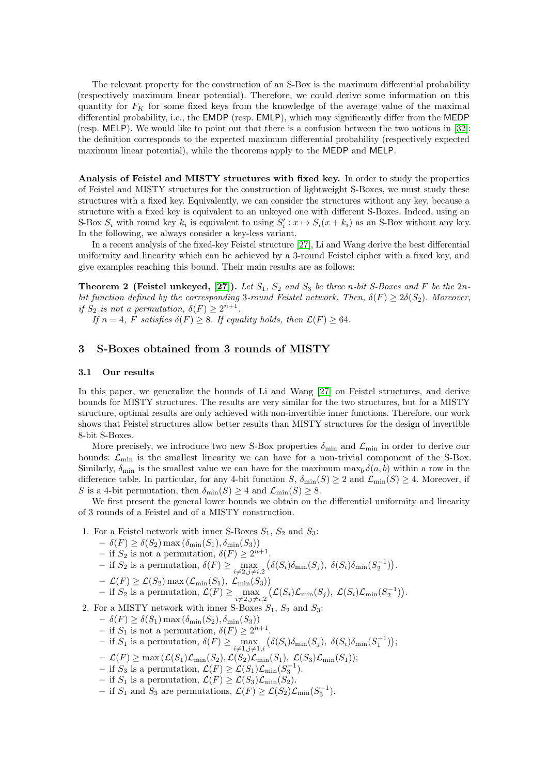The relevant property for the construction of an S-Box is the maximum differential probability (respectively maximum linear potential). Therefore, we could derive some information on this quantity for  $F_K$  for some fixed keys from the knowledge of the average value of the maximal differential probability, i.e., the EMDP (resp. EMLP), which may significantly differ from the MEDP (resp. MELP). We would like to point out that there is a confusion between the two notions in [\[32\]](#page-21-21): the definition corresponds to the expected maximum differential probability (respectively expected maximum linear potential), while the theorems apply to the MEDP and MELP.

Analysis of Feistel and MISTY structures with fixed key. In order to study the properties of Feistel and MISTY structures for the construction of lightweight S-Boxes, we must study these structures with a fixed key. Equivalently, we can consider the structures without any key, because a structure with a fixed key is equivalent to an unkeyed one with different S-Boxes. Indeed, using an S-Box  $S_i$  with round key  $k_i$  is equivalent to using  $S'_i: x \mapsto S_i(x + k_i)$  as an S-Box without any key. In the following, we always consider a key-less variant.

In a recent analysis of the fixed-key Feistel structure [\[27\]](#page-21-16), Li and Wang derive the best differential uniformity and linearity which can be achieved by a 3-round Feistel cipher with a fixed key, and give examples reaching this bound. Their main results are as follows:

**Theorem 2 (Feistel unkeyed, [\[27\]](#page-21-16)).** Let  $S_1$ ,  $S_2$  and  $S_3$  be three n-bit S-Boxes and F be the  $2n$ bit function defined by the corresponding 3-round Feistel network. Then,  $\delta(F) \geq 2\delta(S_2)$ . Moreover, if  $S_2$  is not a permutation,  $\delta(F) \geq 2^{n+1}$ .

If  $n = 4$ , F satisfies  $\delta(F) \geq 8$ . If equality holds, then  $\mathcal{L}(F) \geq 64$ .

# <span id="page-4-0"></span>3 S-Boxes obtained from 3 rounds of MISTY

#### 3.1 Our results

In this paper, we generalize the bounds of Li and Wang [\[27\]](#page-21-16) on Feistel structures, and derive bounds for MISTY structures. The results are very similar for the two structures, but for a MISTY structure, optimal results are only achieved with non-invertible inner functions. Therefore, our work shows that Feistel structures allow better results than MISTY structures for the design of invertible 8-bit S-Boxes.

More precisely, we introduce two new S-Box properties  $\delta_{\min}$  and  $\mathcal{L}_{\min}$  in order to derive our bounds:  $\mathcal{L}_{\text{min}}$  is the smallest linearity we can have for a non-trivial component of the S-Box. Similarly,  $\delta_{\min}$  is the smallest value we can have for the maximum  $\max_b \delta(a, b)$  within a row in the difference table. In particular, for any 4-bit function  $S$ ,  $\delta_{\min}(S) \geq 2$  and  $\mathcal{L}_{\min}(S) \geq 4$ . Moreover, if S is a 4-bit permutation, then  $\delta_{\min}(S) \geq 4$  and  $\mathcal{L}_{\min}(S) \geq 8$ .

We first present the general lower bounds we obtain on the differential uniformity and linearity of 3 rounds of a Feistel and of a MISTY construction.

- 1. For a Feistel network with inner S-Boxes  $S_1$ ,  $S_2$  and  $S_3$ :
	- $\delta(F) \geq \delta(S_2) \max(\delta_{\min}(S_1), \delta_{\min}(S_3))$
	- if  $S_2$  is not a permutation,  $\delta(F) \geq 2^{n+1}$ .
	- $-$  if  $S_2$  is a permutation,  $\delta(F) \ge \max_{i \neq 2, j \neq i,2} \left( \delta(S_i) \delta_{\min}(S_j), \ \delta(S_i) \delta_{\min}(S_2^{-1}) \right)$ .
	- $\mathcal{L}(F) \geq \mathcal{L}(S_2) \max \left( \mathcal{L}_{\min}(S_1), \ \mathcal{L}_{\min}(S_3) \right)$
	- $-$  if  $S_2$  is a permutation,  $\mathcal{L}(F) \ge \max_{i \neq 2, j \neq i, 2} \left( \mathcal{L}(S_i) \mathcal{L}_{\text{min}}(S_j), \ \mathcal{L}(S_i) \mathcal{L}_{\text{min}}(S_2^{-1}) \right)$ .

2. For a MISTY network with inner S-Boxes  $S_1$ ,  $S_2$  and  $S_3$ :

- $\delta(F) \geq \delta(S_1) \max(\delta_{\min}(S_2), \delta_{\min}(S_3))$
- if  $S_1$  is not a permutation,  $\delta(F) \geq 2^{n+1}$ .
- $-$  if  $S_1$  is a permutation,  $\delta(F) \ge \max_{i \neq 1, j \neq 1, i} \left( \delta(S_i) \delta_{\min}(S_j), \ \delta(S_i) \delta_{\min}(S_1^{-1}) \right);$
- $\mathcal{L}(F) \ge \max(\mathcal{L}(S_1)\mathcal{L}_{\min}(S_2), \mathcal{L}(S_2)\mathcal{L}_{\min}(S_1), \mathcal{L}(S_3)\mathcal{L}_{\min}(S_1));$
- − if  $S_3$  is a permutation,  $\mathcal{L}(F) \geq \mathcal{L}(S_1)\mathcal{L}_{\min}(S_3^{-1}).$
- if  $S_1$  is a permutation,  $\mathcal{L}(F) \geq \mathcal{L}(S_3)\mathcal{L}_{\text{min}}(S_2)$ .
- if  $S_1$  and  $S_3$  are permutations,  $\mathcal{L}(F) \geq \mathcal{L}(S_2)\mathcal{L}_{\text{min}}(S_3^{-1}).$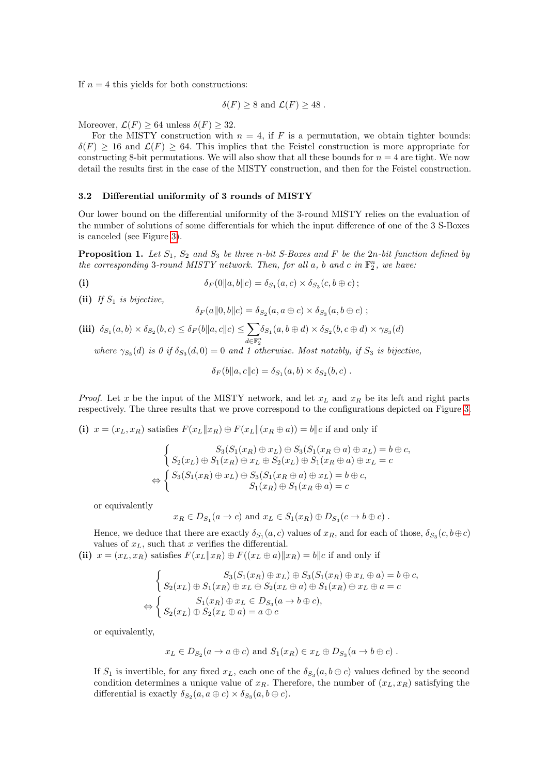If  $n = 4$  this yields for both constructions:

$$
\delta(F) \geq 8
$$
 and  $\mathcal{L}(F) \geq 48$ .

Moreover,  $\mathcal{L}(F) \geq 64$  unless  $\delta(F) \geq 32$ .

For the MISTY construction with  $n = 4$ , if F is a permutation, we obtain tighter bounds:  $\delta(F) > 16$  and  $\mathcal{L}(F) > 64$ . This implies that the Feistel construction is more appropriate for constructing 8-bit permutations. We will also show that all these bounds for  $n = 4$  are tight. We now detail the results first in the case of the MISTY construction, and then for the Feistel construction.

#### 3.2 Differential uniformity of 3 rounds of MISTY

Our lower bound on the differential uniformity of the 3-round MISTY relies on the evaluation of the number of solutions of some differentials for which the input difference of one of the 3 S-Boxes is canceled (see Figure [3\)](#page-6-0).

**Proposition 1.** Let  $S_1$ ,  $S_2$  and  $S_3$  be three n-bit S-Boxes and F be the 2n-bit function defined by the corresponding 3-round MISTY network. Then, for all  $a$ ,  $b$  and  $c$  in  $\mathbb{F}_2^n$ , we have:

$$
\delta_F(0||a,b||c) = \delta_{S_1}(a,c) \times \delta_{S_3}(c,b \oplus c);
$$

(ii) If  $S_1$  is bijective,

<span id="page-5-0"></span>
$$
\delta_F(a||0,b||c) = \delta_{S_2}(a,a \oplus c) \times \delta_{S_3}(a,b \oplus c);
$$

$$
\textbf{(iii)}\ \ \delta_{S_1}(a,b)\times \delta_{S_2}(b,c) \leq \delta_F(b\|a,c\|c) \leq \sum_{d\in\mathbb{F}_2^n} \delta_{S_1}(a,b\oplus d)\times \delta_{S_2}(b,c\oplus d)\times \gamma_{S_3}(d)
$$

where  $\gamma_{S_3}(d)$  is 0 if  $\delta_{S_3}(d,0) = 0$  and 1 otherwise. Most notably, if  $S_3$  is bijective,

$$
\delta_F(b||a,c||c) = \delta_{S_1}(a,b) \times \delta_{S_2}(b,c) .
$$

*Proof.* Let x be the input of the MISTY network, and let  $x_L$  and  $x_R$  be its left and right parts respectively. The three results that we prove correspond to the configurations depicted on Figure [3.](#page-6-0)

(i)  $x = (x_L, x_R)$  satisfies  $F(x_L || x_R) \oplus F(x_L || (x_R \oplus a)) = b||c$  if and only if

$$
\begin{cases}\nS_3(S_1(x_R) \oplus x_L) \oplus S_3(S_1(x_R \oplus a) \oplus x_L) = b \oplus c, \\
S_2(x_L) \oplus S_1(x_R) \oplus x_L \oplus S_2(x_L) \oplus S_1(x_R \oplus a) \oplus x_L = c\n\end{cases}
$$
  
\n
$$
\Leftrightarrow \begin{cases}\nS_3(S_1(x_R) \oplus x_L) \oplus S_3(S_1(x_R \oplus a) \oplus x_L) = b \oplus c, \\
S_1(x_R) \oplus S_1(x_R \oplus a) = c\n\end{cases}
$$

or equivalently

$$
x_R \in D_{S_1}(a \to c)
$$
 and  $x_L \in S_1(x_R) \oplus D_{S_3}(c \to b \oplus c)$ .

Hence, we deduce that there are exactly  $\delta_{S_1}(a,c)$  values of  $x_R$ , and for each of those,  $\delta_{S_3}(c,b\oplus c)$ values of  $x_L$ , such that x verifies the differential.

(ii)  $x = (x_L, x_R)$  satisfies  $F(x_L || x_R) \oplus F((x_L \oplus a) || x_R) = b||c$  if and only if

$$
\begin{cases}\nS_3(S_1(x_R) \oplus x_L) \oplus S_3(S_1(x_R) \oplus x_L \oplus a) = b \oplus c, \\
S_2(x_L) \oplus S_1(x_R) \oplus x_L \oplus S_2(x_L \oplus a) \oplus S_1(x_R) \oplus x_L \oplus a = c\n\end{cases}
$$
\n
$$
\Leftrightarrow \begin{cases}\nS_1(x_R) \oplus x_L \in D_{S_3}(a \to b \oplus c), \\
S_2(x_L) \oplus S_2(x_L \oplus a) = a \oplus c\n\end{cases}
$$

or equivalently,

$$
x_L \in D_{S_2}(a \to a \oplus c)
$$
 and  $S_1(x_R) \in x_L \oplus D_{S_3}(a \to b \oplus c)$ .

If  $S_1$  is invertible, for any fixed  $x_L$ , each one of the  $\delta_{S_3}(a, b \oplus c)$  values defined by the second condition determines a unique value of  $x_R$ . Therefore, the number of  $(x_L, x_R)$  satisfying the differential is exactly  $\delta_{S_2}(a, a \oplus c) \times \delta_{S_3}(a, b \oplus c)$ .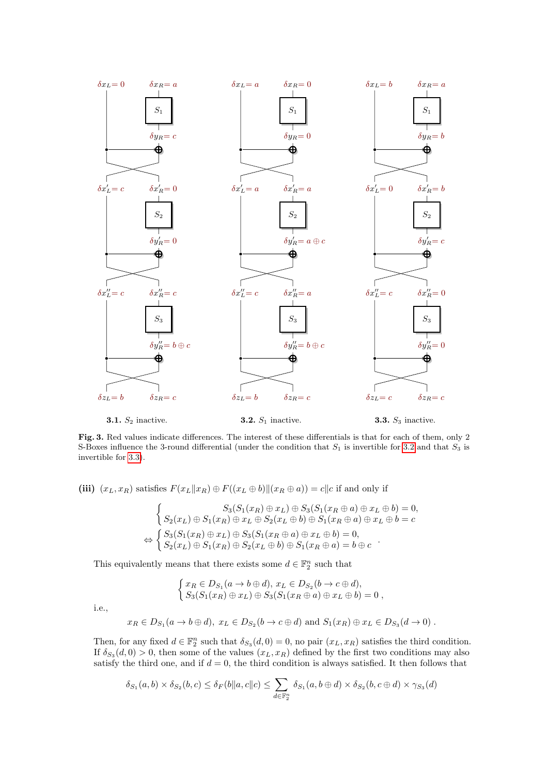

<span id="page-6-0"></span>Fig. 3. Red values indicate differences. The interest of these differentials is that for each of them, only 2 S-Boxes influence the 3-round differential (under the condition that  $S_1$  is invertible for [3.2](#page-6-0) and that  $S_3$  is invertible for [3.3\)](#page-6-0).

(iii)  $(x_L, x_R)$  satisfies  $F(x_L||x_R) \oplus F((x_L \oplus b)||(x_R \oplus a)) = c||c|$  if and only if

$$
\begin{cases}\nS_3(S_1(x_R) \oplus x_L) \oplus S_3(S_1(x_R \oplus a) \oplus x_L \oplus b) = 0, \\
S_2(x_L) \oplus S_1(x_R) \oplus x_L \oplus S_2(x_L \oplus b) \oplus S_1(x_R \oplus a) \oplus x_L \oplus b = c \\
\Leftrightarrow \begin{cases}\nS_3(S_1(x_R) \oplus x_L) \oplus S_3(S_1(x_R \oplus a) \oplus x_L \oplus b) = 0, \\
S_2(x_L) \oplus S_1(x_R) \oplus S_2(x_L \oplus b) \oplus S_1(x_R \oplus a) = b \oplus c\n\end{cases}.\n\end{cases}
$$

This equivalently means that there exists some  $d\in\mathbb{F}_2^n$  such that

$$
\begin{cases} x_R \in D_{S_1}(a \to b \oplus d), x_L \in D_{S_2}(b \to c \oplus d), \\ S_3(S_1(x_R) \oplus x_L) \oplus S_3(S_1(x_R \oplus a) \oplus x_L \oplus b) = 0, \end{cases}
$$

i.e.,

$$
x_R \in D_{S_1}(a \to b \oplus d), x_L \in D_{S_2}(b \to c \oplus d)
$$
 and  $S_1(x_R) \oplus x_L \in D_{S_3}(d \to 0)$ .

Then, for any fixed  $d \in \mathbb{F}_2^n$  such that  $\delta_{S_3}(d,0) = 0$ , no pair  $(x_L, x_R)$  satisfies the third condition. If  $\delta_{S_3}(d,0) > 0$ , then some of the values  $(x_L, x_R)$  defined by the first two conditions may also satisfy the third one, and if  $d = 0$ , the third condition is always satisfied. It then follows that

$$
\delta_{S_1}(a,b) \times \delta_{S_2}(b,c) \leq \delta_F(b||a,c||c) \leq \sum_{d \in \mathbb{F}_2^n} \delta_{S_1}(a,b \oplus d) \times \delta_{S_2}(b,c \oplus d) \times \gamma_{S_3}(d)
$$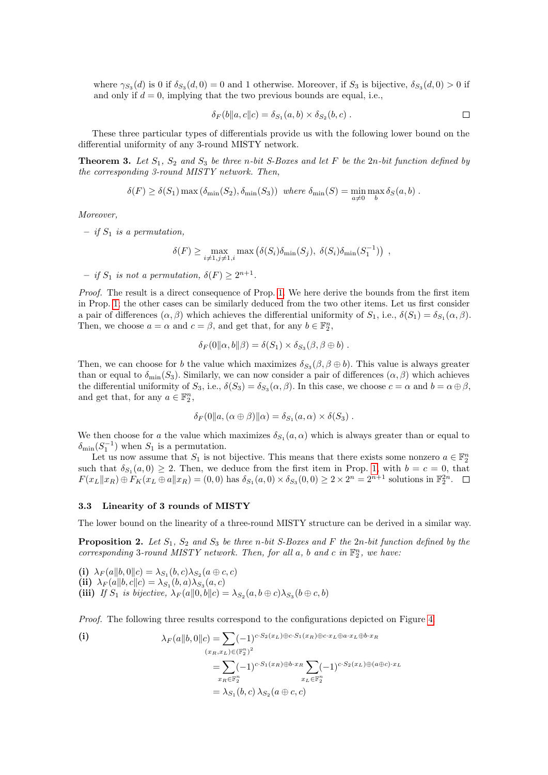where  $\gamma_{S_3}(d)$  is 0 if  $\delta_{S_3}(d,0) = 0$  and 1 otherwise. Moreover, if  $S_3$  is bijective,  $\delta_{S_3}(d,0) > 0$  if and only if  $d = 0$ , implying that the two previous bounds are equal, i.e.,

<span id="page-7-1"></span>
$$
\delta_F(b||a,c||c) = \delta_{S_1}(a,b) \times \delta_{S_2}(b,c) . \Box
$$

These three particular types of differentials provide us with the following lower bound on the differential uniformity of any 3-round MISTY network.

**Theorem 3.** Let  $S_1$ ,  $S_2$  and  $S_3$  be three n-bit S-Boxes and let F be the 2n-bit function defined by the corresponding 3-round MISTY network. Then,

$$
\delta(F) \ge \delta(S_1) \max\left(\delta_{\min}(S_2), \delta_{\min}(S_3)\right) \text{ where } \delta_{\min}(S) = \min_{a \neq 0} \max_b \delta_S(a, b).
$$

Moreover,

– if  $S_1$  is a permutation,

 $\delta(F) \ge \max_{i \neq 1, j \neq 1, i} \max (\delta(S_i) \delta_{\min}(S_j), \ \delta(S_i) \delta_{\min}(S_1^{-1}))$ ,

 $-$  if  $S_1$  is not a permutation,  $\delta(F) \geq 2^{n+1}$ .

Proof. The result is a direct consequence of Prop. [1.](#page-5-0) We here derive the bounds from the first item in Prop. [1;](#page-5-0) the other cases can be similarly deduced from the two other items. Let us first consider a pair of differences  $(\alpha, \beta)$  which achieves the differential uniformity of  $S_1$ , i.e.,  $\delta(S_1) = \delta_{S_1}(\alpha, \beta)$ . Then, we choose  $a = \alpha$  and  $c = \beta$ , and get that, for any  $b \in \mathbb{F}_2^n$ ,

$$
\delta_F(0||\alpha, b||\beta) = \delta(S_1) \times \delta_{S_3}(\beta, \beta \oplus b).
$$

Then, we can choose for b the value which maximizes  $\delta_{S_3}(\beta, \beta \oplus b)$ . This value is always greater than or equal to  $\delta_{\min}(S_3)$ . Similarly, we can now consider a pair of differences  $(\alpha, \beta)$  which achieves the differential uniformity of  $S_3$ , i.e.,  $\delta(S_3) = \delta_{S_3}(\alpha, \beta)$ . In this case, we choose  $c = \alpha$  and  $b = \alpha \oplus \beta$ , and get that, for any  $a \in \mathbb{F}_2^n$ ,

$$
\delta_F(0||a,(\alpha \oplus \beta)||\alpha) = \delta_{S_1}(a,\alpha) \times \delta(S_3) .
$$

We then choose for a the value which maximizes  $\delta_{S_1}(a, \alpha)$  which is always greater than or equal to  $\delta_{\min}(S_1^{-1})$  when  $S_1$  is a permutation.

Let us now assume that  $S_1$  is not bijective. This means that there exists some nonzero  $a \in \mathbb{F}_2^n$ such that  $\delta_{S_1}(a,0) \geq 2$ . Then, we deduce from the first item in Prop. [1,](#page-5-0) with  $b=c=0$ , that  $F(x_L \| x_R) \oplus \overline{F}_K(x_L \oplus a \| x_R) = (0,0)$  has  $\delta_{S_1}(a,0) \times \delta_{S_3}(0,0) \geq 2 \times 2^n = 2^{n+1}$  solutions in  $\mathbb{F}_2^{2n}$ .

#### 3.3 Linearity of 3 rounds of MISTY

<span id="page-7-0"></span>The lower bound on the linearity of a three-round MISTY structure can be derived in a similar way.

**Proposition 2.** Let  $S_1$ ,  $S_2$  and  $S_3$  be three n-bit S-Boxes and F the 2n-bit function defined by the corresponding 3-round MISTY network. Then, for all  $a$ ,  $b$  and  $c$  in  $\mathbb{F}_2^n$ , we have:

(i)  $\lambda_F(a||b, 0||c) = \lambda_{S_1}(b, c)\lambda_{S_2}(a \oplus c, c)$ (ii)  $\lambda_F(a||b, c||c) = \lambda_{S_1}(b, a)\lambda_{S_3}(a, c)$ (iii) If  $S_1$  is bijective,  $\lambda_F(a||0, b||c) = \lambda_{S_2}(a, b \oplus c)\lambda_{S_3}(b \oplus c, b)$ 

Proof. The following three results correspond to the configurations depicted on Figure [4.](#page-8-0)

(i)  
\n
$$
\lambda_F(a||b,0||c) = \sum (-1)^{c \cdot S_2(x_L) \oplus c \cdot S_1(x_R) \oplus c \cdot x_L \oplus a \cdot x_L \oplus b \cdot x_R}
$$
\n
$$
= \sum_{x_R \in \mathbb{F}_2^n} (-1)^{c \cdot S_1(x_R) \oplus b \cdot x_R} \sum_{x_L \in \mathbb{F}_2^n} (-1)^{c \cdot S_2(x_L) \oplus (a \oplus c) \cdot x_L}
$$
\n
$$
= \lambda_{S_1}(b,c) \lambda_{S_2}(a \oplus c,c)
$$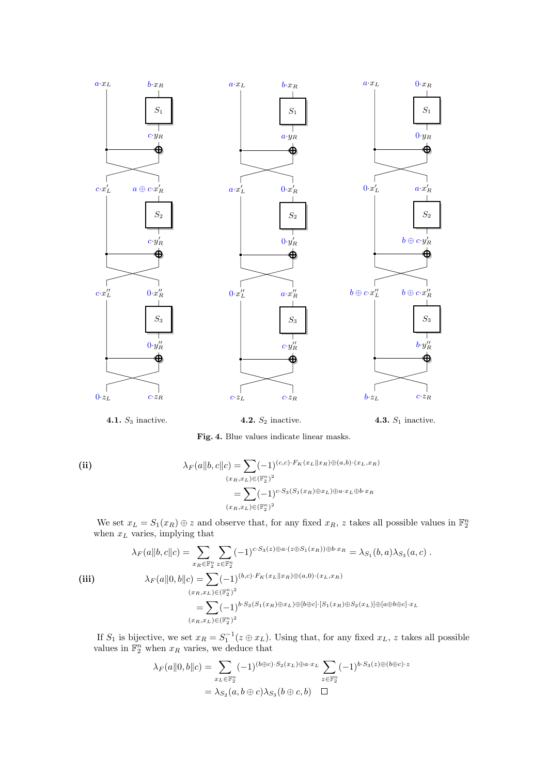

4.1.  $S_3$  inactive.

4.2.  $S_2$  inactive.

4.3.  $S_1$  inactive.

<span id="page-8-0"></span>Fig. 4. Blue values indicate linear masks.

(ii)  
\n
$$
\lambda_F(a||b, c||c) = \sum (-1)^{(c,c)\cdot F_K(x_L||x_R) \oplus (a,b)\cdot (x_L, x_R)}
$$
\n
$$
= \sum (-1)^{c\cdot S_3(S_1(x_R) \oplus x_L) \oplus a \cdot x_L \oplus b \cdot x_R}
$$
\n
$$
(x_R, x_L) \in (\mathbb{F}_2^n)^2
$$

We set  $x_L = S_1(x_R) \oplus z$  and observe that, for any fixed  $x_R$ , z takes all possible values in  $\mathbb{F}_2^n$ when  $x_L$  varies, implying that

$$
\lambda_F(a||b, c||c) = \sum_{x_R \in \mathbb{F}_2^n} \sum_{z \in \mathbb{F}_2^n} (-1)^{c \cdot S_3(z) \oplus a \cdot (z \oplus S_1(x_R)) \oplus b \cdot x_R} = \lambda_{S_1}(b, a) \lambda_{S_3}(a, c) .
$$
  
\n(iii)  
\n
$$
\lambda_F(a||0, b||c) = \sum_{(x_R, x_L) \in (\mathbb{F}_2^n)^2} (-1)^{(b, c) \cdot F_K(x_L || x_R) \oplus (a, 0) \cdot (x_L, x_R)}
$$
  
\n
$$
= \sum_{(x_R, x_L) \in (\mathbb{F}_2^n)^2} (-1)^{b \cdot S_3(S_1(x_R) \oplus x_L) \oplus [b \oplus c] \cdot [S_1(x_R) \oplus S_2(x_L)] \oplus [a \oplus b \oplus c] \cdot x_L}
$$

If  $S_1$  is bijective, we set  $x_R = S_1^{-1}(z \oplus x_L)$ . Using that, for any fixed  $x_L$ , z takes all possible values in  $\mathbb{F}_2^n$  when  $x_R$  varies, we deduce that

$$
\lambda_F(a||0,b||c) = \sum_{x_L \in \mathbb{F}_2^n} (-1)^{(b \oplus c) \cdot S_2(x_L) \oplus a \cdot x_L} \sum_{z \in \mathbb{F}_2^n} (-1)^{b \cdot S_3(z) \oplus (b \oplus c) \cdot z}
$$

$$
= \lambda_{S_2}(a, b \oplus c) \lambda_{S_3}(b \oplus c, b) \quad \Box
$$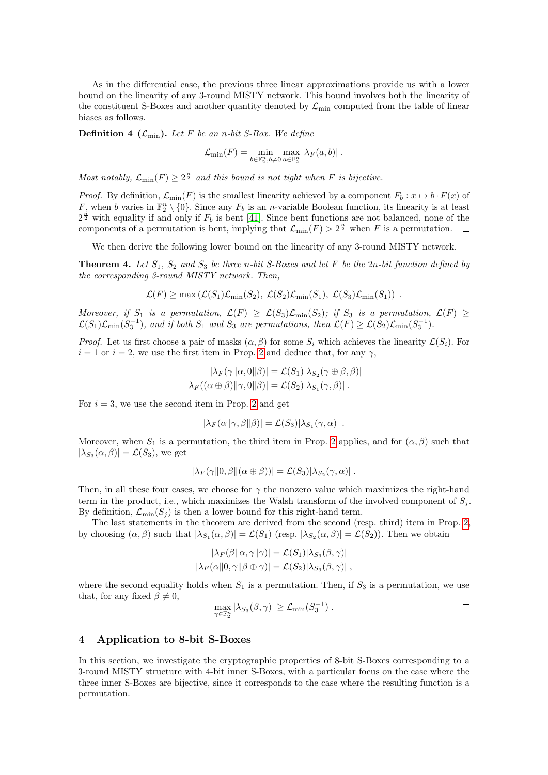As in the differential case, the previous three linear approximations provide us with a lower bound on the linearity of any 3-round MISTY network. This bound involves both the linearity of the constituent S-Boxes and another quantity denoted by  $\mathcal{L}_{\text{min}}$  computed from the table of linear biases as follows.

**Definition 4** ( $\mathcal{L}_{\text{min}}$ ). Let F be an n-bit S-Box. We define

<span id="page-9-2"></span>
$$
\mathcal{L}_{\min}(F) = \min_{b \in \mathbb{F}_2^n, b \neq 0} \max_{a \in \mathbb{F}_2^n} |\lambda_F(a, b)|.
$$

Most notably,  $\mathcal{L}_{\min}(F) \geq 2^{\frac{n}{2}}$  and this bound is not tight when F is bijective.

*Proof.* By definition,  $\mathcal{L}_{min}(F)$  is the smallest linearity achieved by a component  $F_b : x \mapsto b \cdot F(x)$  of F, when b varies in  $\mathbb{F}_2^n \setminus \{0\}$ . Since any  $F_b$  is an n-variable Boolean function, its linearity is at least  $2^{\frac{n}{2}}$  with equality if and only if  $F_b$  is bent [\[41\]](#page-21-22). Since bent functions are not balanced, none of the components of a permutation is bent, implying that  $\mathcal{L}_{\min}(F) > 2^{\frac{n}{2}}$  when F is a permutation.

We then derive the following lower bound on the linearity of any 3-round MISTY network.

<span id="page-9-1"></span>**Theorem 4.** Let  $S_1$ ,  $S_2$  and  $S_3$  be three n-bit S-Boxes and let F be the 2n-bit function defined by the corresponding 3-round MISTY network. Then,

$$
\mathcal{L}(F) \ge \max\left(\mathcal{L}(S_1)\mathcal{L}_{\min}(S_2), \ \mathcal{L}(S_2)\mathcal{L}_{\min}(S_1), \ \mathcal{L}(S_3)\mathcal{L}_{\min}(S_1)\right) \ .
$$

Moreover, if  $S_1$  is a permutation,  $\mathcal{L}(F) \geq \mathcal{L}(S_3)\mathcal{L}_{\text{min}}(S_2)$ ; if  $S_3$  is a permutation,  $\mathcal{L}(F) \geq$  $\mathcal{L}(S_1)\mathcal{L}_{\text{min}}(S_3^{-1}),$  and if both  $S_1$  and  $S_3$  are permutations, then  $\mathcal{L}(F) \geq \mathcal{L}(S_2)\mathcal{L}_{\text{min}}(S_3^{-1}).$ 

*Proof.* Let us first choose a pair of masks  $(\alpha, \beta)$  for some  $S_i$  which achieves the linearity  $\mathcal{L}(S_i)$ . For  $i = 1$  or  $i = 2$  $i = 2$ , we use the first item in Prop. 2 and deduce that, for any  $\gamma$ ,

$$
|\lambda_F(\gamma||\alpha,0||\beta)| = \mathcal{L}(S_1)|\lambda_{S_2}(\gamma \oplus \beta, \beta)|
$$
  

$$
|\lambda_F((\alpha \oplus \beta)||\gamma,0||\beta)| = \mathcal{L}(S_2)|\lambda_{S_1}(\gamma, \beta)|.
$$

For  $i = 3$ , we use the second item in Prop. [2](#page-7-0) and get

$$
|\lambda_F(\alpha||\gamma, \beta||\beta)| = \mathcal{L}(S_3)|\lambda_{S_1}(\gamma, \alpha)|.
$$

Moreover, when  $S_1$  is a permutation, the third item in Prop. [2](#page-7-0) applies, and for  $(\alpha, \beta)$  such that  $|\lambda_{S_3}(\alpha, \beta)| = \mathcal{L}(S_3)$ , we get

$$
|\lambda_F(\gamma||0,\beta||(\alpha\oplus\beta))|=\mathcal{L}(S_3)|\lambda_{S_2}(\gamma,\alpha)|.
$$

Then, in all these four cases, we choose for  $\gamma$  the nonzero value which maximizes the right-hand term in the product, i.e., which maximizes the Walsh transform of the involved component of  $S_i$ . By definition,  $\mathcal{L}_{\text{min}}(S_j)$  is then a lower bound for this right-hand term.

The last statements in the theorem are derived from the second (resp. third) item in Prop. [2,](#page-7-0) by choosing  $(\alpha, \beta)$  such that  $|\lambda_{S_1}(\alpha, \beta)| = \mathcal{L}(S_1)$  (resp.  $|\lambda_{S_2}(\alpha, \beta)| = \mathcal{L}(S_2)$ ). Then we obtain

$$
|\lambda_F(\beta||\alpha, \gamma||\gamma)| = \mathcal{L}(S_1)|\lambda_{S_3}(\beta, \gamma)|
$$
  

$$
|\lambda_F(\alpha||0, \gamma||\beta \oplus \gamma)| = \mathcal{L}(S_2)|\lambda_{S_3}(\beta, \gamma)|,
$$

where the second equality holds when  $S_1$  is a permutation. Then, if  $S_3$  is a permutation, we use that, for any fixed  $\beta \neq 0$ ,

$$
\max_{\gamma \in \mathbb{F}_2^n} |\lambda_{S_3}(\beta, \gamma)| \geq \mathcal{L}_{\min}(S_3^{-1}).
$$

## <span id="page-9-0"></span>4 Application to 8-bit S-Boxes

In this section, we investigate the cryptographic properties of 8-bit S-Boxes corresponding to a 3-round MISTY structure with 4-bit inner S-Boxes, with a particular focus on the case where the three inner S-Boxes are bijective, since it corresponds to the case where the resulting function is a permutation.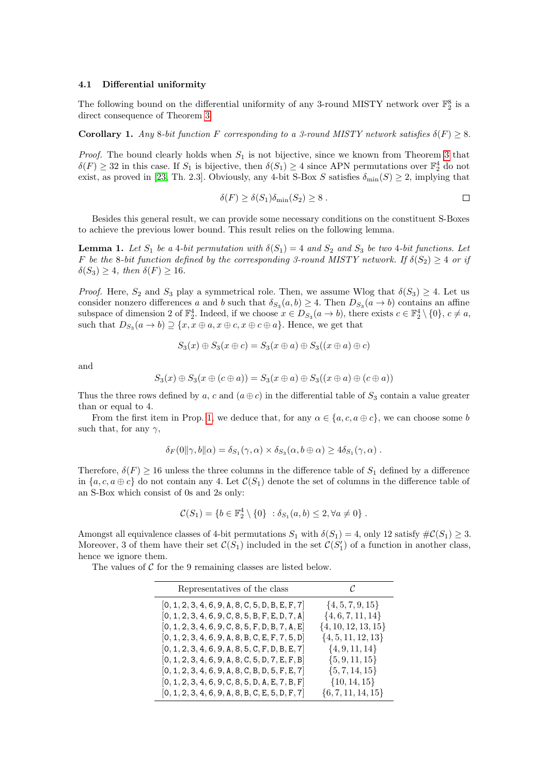#### 4.1 Differential uniformity

The following bound on the differential uniformity of any 3-round MISTY network over  $\mathbb{F}_2^8$  is a direct consequence of Theorem [3.](#page-7-1)

**Corollary 1.** Any 8-bit function F corresponding to a 3-round MISTY network satisfies  $\delta(F) > 8$ .

*Proof.* The bound clearly holds when  $S_1$  is not bijective, since we known from Theorem [3](#page-7-1) that  $\delta(F) \geq 32$  in this case. If  $S_1$  is bijective, then  $\delta(S_1) \geq 4$  since APN permutations over  $\mathbb{F}_2^4$  do not exist, as proved in [\[23,](#page-21-23) Th. 2.3]. Obviously, any 4-bit S-Box S satisfies  $\delta_{\min}(S) \geq 2$ , implying that

<span id="page-10-1"></span><span id="page-10-0"></span>
$$
\delta(F) \ge \delta(S_1)\delta_{\min}(S_2) \ge 8 . \qquad \qquad \Box
$$

Besides this general result, we can provide some necessary conditions on the constituent S-Boxes to achieve the previous lower bound. This result relies on the following lemma.

**Lemma 1.** Let  $S_1$  be a 4-bit permutation with  $\delta(S_1) = 4$  and  $S_2$  and  $S_3$  be two 4-bit functions. Let F be the 8-bit function defined by the corresponding 3-round MISTY network. If  $\delta(S_2) \geq 4$  or if  $\delta(S_3) > 4$ , then  $\delta(F) > 16$ .

*Proof.* Here,  $S_2$  and  $S_3$  play a symmetrical role. Then, we assume Wlog that  $\delta(S_3) \geq 4$ . Let us consider nonzero differences a and b such that  $\delta_{S_3}(a, b) \geq 4$ . Then  $D_{S_3}(a \to b)$  contains an affine subspace of dimension 2 of  $\mathbb{F}_2^4$ . Indeed, if we choose  $x \in D_{S_3}(a \to b)$ , there exists  $c \in \mathbb{F}_2^4 \setminus \{0\}$ ,  $c \neq a$ , such that  $D_{S_3}(a \to b) \supseteq \{x, x \oplus a, x \oplus c, x \oplus c \oplus a\}$ . Hence, we get that

$$
S_3(x) \oplus S_3(x \oplus c) = S_3(x \oplus a) \oplus S_3((x \oplus a) \oplus c)
$$

and

$$
S_3(x) \oplus S_3(x \oplus (c \oplus a)) = S_3(x \oplus a) \oplus S_3((x \oplus a) \oplus (c \oplus a))
$$

Thus the three rows defined by a, c and  $(a \oplus c)$  in the differential table of  $S_3$  contain a value greater than or equal to 4.

From the first item in Prop. [1,](#page-5-0) we deduce that, for any  $\alpha \in \{a, c, a \oplus c\}$ , we can choose some b such that, for any  $\gamma$ ,

$$
\delta_F(0\|\gamma, b\|\alpha) = \delta_{S_1}(\gamma, \alpha) \times \delta_{S_3}(\alpha, b \oplus \alpha) \ge 4\delta_{S_1}(\gamma, \alpha) .
$$

Therefore,  $\delta(F) \ge 16$  unless the three columns in the difference table of  $S_1$  defined by a difference in  ${a, c, a \oplus c}$  do not contain any 4. Let  $\mathcal{C}(S_1)$  denote the set of columns in the difference table of an S-Box which consist of 0s and 2s only:

$$
C(S_1) = \{b \in \mathbb{F}_2^4 \setminus \{0\} : \delta_{S_1}(a, b) \le 2, \forall a \ne 0\}.
$$

Amongst all equivalence classes of 4-bit permutations  $S_1$  with  $\delta(S_1) = 4$ , only 12 satisfy  $\#\mathcal{C}(S_1) \geq 3$ . Moreover, 3 of them have their set  $\mathcal{C}(S_1)$  included in the set  $\mathcal{C}(S_1')$  of a function in another class, hence we ignore them.

The values of  $C$  for the 9 remaining classes are listed below.

| Representatives of the class                       | C                       |
|----------------------------------------------------|-------------------------|
| $[0, 1, 2, 3, 4, 6, 9, A, 8, C, 5, D, B, E, F, 7]$ | $\{4, 5, 7, 9, 15\}$    |
| $[0, 1, 2, 3, 4, 6, 9, C, 8, 5, B, F, E, D, 7, A]$ | $\{4,6,7,11,14\}$       |
| $[0, 1, 2, 3, 4, 6, 9, C, 8, 5, F, D, B, 7, A, E]$ | $\{4, 10, 12, 13, 15\}$ |
| $[0, 1, 2, 3, 4, 6, 9, A, 8, B, C, E, F, 7, 5, D]$ | $\{4, 5, 11, 12, 13\}$  |
| $[0, 1, 2, 3, 4, 6, 9, A, 8, 5, C, F, D, B, E, 7]$ | $\{4, 9, 11, 14\}$      |
| $[0, 1, 2, 3, 4, 6, 9, A, 8, C, 5, D, 7, E, F, B]$ | $\{5, 9, 11, 15\}$      |
| $[0, 1, 2, 3, 4, 6, 9, A, 8, C, B, D, 5, F, E, 7]$ | $\{5, 7, 14, 15\}$      |
| $[0, 1, 2, 3, 4, 6, 9, C, 8, 5, D, A, E, 7, B, F]$ | $\{10, 14, 15\}$        |
| $[0, 1, 2, 3, 4, 6, 9, A, 8, B, C, E, 5, D, F, 7]$ | $\{6, 7, 11, 14, 15\}$  |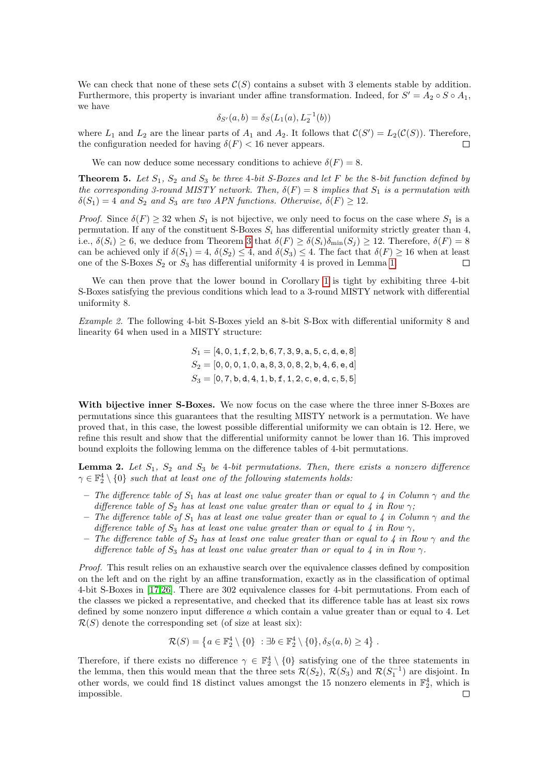We can check that none of these sets  $C(S)$  contains a subset with 3 elements stable by addition. Furthermore, this property is invariant under affine transformation. Indeed, for  $S' = A_2 \circ S \circ A_1$ , we have

$$
\delta_{S'}(a,b) = \delta_S(L_1(a), L_2^{-1}(b))
$$

where  $L_1$  and  $L_2$  are the linear parts of  $A_1$  and  $A_2$ . It follows that  $\mathcal{C}(S') = L_2(\mathcal{C}(S))$ . Therefore, the configuration needed for having  $\delta(F)$  < 16 never appears.  $\Box$ 

We can now deduce some necessary conditions to achieve  $\delta(F) = 8$ .

**Theorem 5.** Let  $S_1$ ,  $S_2$  and  $S_3$  be three 4-bit S-Boxes and let F be the 8-bit function defined by the corresponding 3-round MISTY network. Then,  $\delta(F) = 8$  implies that  $S_1$  is a permutation with  $\delta(S_1) = 4$  and  $S_2$  and  $S_3$  are two APN functions. Otherwise,  $\delta(F) \geq 12$ .

*Proof.* Since  $\delta(F) > 32$  when  $S_1$  is not bijective, we only need to focus on the case where  $S_1$  is a permutation. If any of the constituent S-Boxes  $S_i$  has differential uniformity strictly greater than 4, i.e.,  $\delta(S_i) \geq 6$ , we deduce from Theorem [3](#page-7-1) that  $\delta(F) \geq \delta(S_i) \delta_{\min}(S_i) \geq 12$ . Therefore,  $\delta(F) = 8$ can be achieved only if  $\delta(S_1) = 4$ ,  $\delta(S_2) \leq 4$ , and  $\delta(S_3) \leq 4$ . The fact that  $\delta(F) \geq 16$  when at least one of the S-Boxes  $S_2$  or  $S_3$  has differential uniformity 4 is proved in Lemma [1.](#page-10-0)  $\Box$ 

We can then prove that the lower bound in Corollary [1](#page-10-1) is tight by exhibiting three 4-bit S-Boxes satisfying the previous conditions which lead to a 3-round MISTY network with differential uniformity 8.

<span id="page-11-1"></span>Example 2. The following 4-bit S-Boxes yield an 8-bit S-Box with differential uniformity 8 and linearity 64 when used in a MISTY structure:

$$
S_1=[4,0,1,\texttt{f},2,\texttt{b},6,7,3,9,\texttt{a},5,\texttt{c},\texttt{d},\texttt{e},8] \\ S_2=[0,0,0,1,0,\texttt{a},8,3,0,8,2,\texttt{b},4,6,\texttt{e},\texttt{d}] \\ S_3=[0,7,\texttt{b},\texttt{d},4,1,\texttt{b},\texttt{f},1,2,\texttt{c},\texttt{e},\texttt{d},\texttt{c},5,5]
$$

With bijective inner S-Boxes. We now focus on the case where the three inner S-Boxes are permutations since this guarantees that the resulting MISTY network is a permutation. We have proved that, in this case, the lowest possible differential uniformity we can obtain is 12. Here, we refine this result and show that the differential uniformity cannot be lower than 16. This improved bound exploits the following lemma on the difference tables of 4-bit permutations.

<span id="page-11-0"></span>**Lemma 2.** Let  $S_1$ ,  $S_2$  and  $S_3$  be 4-bit permutations. Then, there exists a nonzero difference  $\gamma \in \mathbb{F}_2^4 \setminus \{0\}$  such that at least one of the following statements holds:

- The difference table of  $S_1$  has at least one value greater than or equal to 4 in Column  $\gamma$  and the difference table of  $S_2$  has at least one value greater than or equal to 4 in Row  $\gamma$ ;
- The difference table of  $S_1$  has at least one value greater than or equal to 4 in Column  $\gamma$  and the difference table of  $S_3$  has at least one value greater than or equal to 4 in Row  $\gamma$ ,
- The difference table of  $S_2$  has at least one value greater than or equal to 4 in Row  $\gamma$  and the difference table of  $S_3$  has at least one value greater than or equal to 4 in in Row  $\gamma$ .

Proof. This result relies on an exhaustive search over the equivalence classes defined by composition on the left and on the right by an affine transformation, exactly as in the classification of optimal 4-bit S-Boxes in [\[17,](#page-20-8)[26\]](#page-21-8). There are 302 equivalence classes for 4-bit permutations. From each of the classes we picked a representative, and checked that its difference table has at least six rows defined by some nonzero input difference a which contain a value greater than or equal to 4. Let  $\mathcal{R}(S)$  denote the corresponding set (of size at least six):

$$
\mathcal{R}(S) = \left\{ a \in \mathbb{F}_2^4 \setminus \{0\} \ : \exists b \in \mathbb{F}_2^4 \setminus \{0\}, \delta_S(a, b) \ge 4 \right\}.
$$

Therefore, if there exists no difference  $\gamma \in \mathbb{F}_2^4 \setminus \{0\}$  satisfying one of the three statements in the lemma, then this would mean that the three sets  $\mathcal{R}(S_2)$ ,  $\mathcal{R}(S_3)$  and  $\mathcal{R}(S_1^{-1})$  are disjoint. In other words, we could find 18 distinct values amongst the 15 nonzero elements in  $\mathbb{F}_2^4$ , which is impossible. $\Box$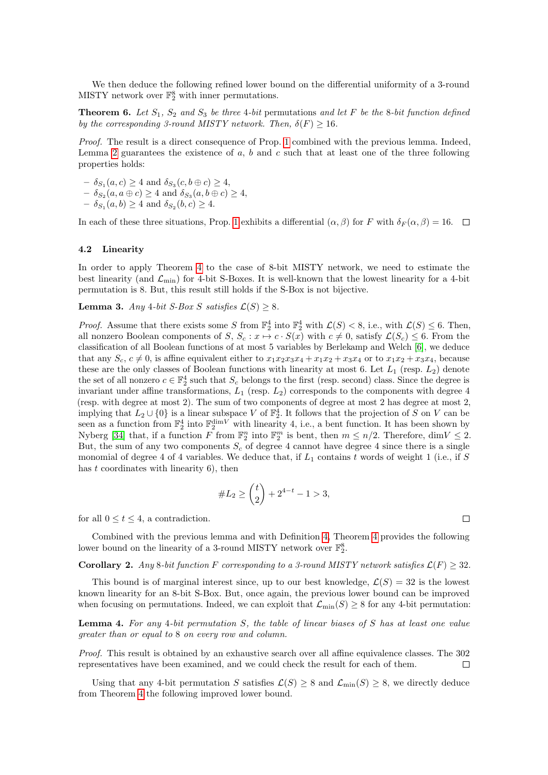We then deduce the following refined lower bound on the differential uniformity of a 3-round MISTY network over  $\mathbb{F}_2^8$  with inner permutations.

**Theorem 6.** Let  $S_1$ ,  $S_2$  and  $S_3$  be three 4-bit permutations and let F be the 8-bit function defined by the corresponding 3-round MISTY network. Then,  $\delta(F) \geq 16$ .

Proof. The result is a direct consequence of Prop. [1](#page-5-0) combined with the previous lemma. Indeed, Lemma [2](#page-11-0) guarantees the existence of  $a, b$  and  $c$  such that at least one of the three following properties holds:

 $- \delta_{S_1}(a, c) \geq 4$  and  $\delta_{S_3}(c, b \oplus c) \geq 4$ ,

 $- \delta_{S_2}(a, a \oplus c) \geq 4$  and  $\delta_{S_3}(a, b \oplus c) \geq 4$ ,

 $- \delta_{S_1}(a, b) \geq 4$  and  $\delta_{S_2}(b, c) \geq 4$ .

In each of these three situations, Prop. [1](#page-5-0) exhibits a differential  $(\alpha, \beta)$  for F with  $\delta_F(\alpha, \beta) = 16$ .

#### 4.2 Linearity

In order to apply Theorem [4](#page-9-1) to the case of 8-bit MISTY network, we need to estimate the best linearity (and  $\mathcal{L}_{\text{min}}$ ) for 4-bit S-Boxes. It is well-known that the lowest linearity for a 4-bit permutation is 8. But, this result still holds if the S-Box is not bijective.

**Lemma 3.** Any 4-bit S-Box S satisfies  $\mathcal{L}(S) \geq 8$ .

*Proof.* Assume that there exists some S from  $\mathbb{F}_2^4$  into  $\mathbb{F}_2^4$  with  $\mathcal{L}(S) < 8$ , i.e., with  $\mathcal{L}(S) \leq 6$ . Then, all nonzero Boolean components of S,  $S_c: x \mapsto c \cdot S(x)$  with  $c \neq 0$ , satisfy  $\mathcal{L}(S_c) \leq 6$ . From the classification of all Boolean functions of at most 5 variables by Berlekamp and Welch [\[6\]](#page-20-14), we deduce that any  $S_c$ ,  $c \neq 0$ , is affine equivalent either to  $x_1x_2x_3x_4 + x_1x_2 + x_3x_4$  or to  $x_1x_2 + x_3x_4$ , because these are the only classes of Boolean functions with linearity at most 6. Let  $L_1$  (resp.  $L_2$ ) denote the set of all nonzero  $c \in \mathbb{F}_2^4$  such that  $S_c$  belongs to the first (resp. second) class. Since the degree is invariant under affine transformations,  $L_1$  (resp.  $L_2$ ) corresponds to the components with degree 4 (resp. with degree at most 2). The sum of two components of degree at most 2 has degree at most 2, implying that  $L_2 \cup \{0\}$  is a linear subspace V of  $\mathbb{F}_2^4$ . It follows that the projection of S on V can be seen as a function from  $\mathbb{F}_2^4$  into  $\mathbb{F}_2^{\text{dim}V}$  with linearity 4, i.e., a bent function. It has been shown by Nyberg [\[34\]](#page-21-24) that, if a function  $\overline{F}$  from  $\mathbb{F}_2^m$  into  $\mathbb{F}_2^m$  is bent, then  $m \leq n/2$ . Therefore,  $\dim V \leq 2$ . But, the sum of any two components  $S_c$  of degree 4 cannot have degree 4 since there is a single monomial of degree 4 of 4 variables. We deduce that, if  $L_1$  contains t words of weight 1 (i.e., if S has  $t$  coordinates with linearity 6), then

$$
\#L_2 \ge \binom{t}{2} + 2^{4-t} - 1 > 3,
$$

for all  $0 \le t \le 4$ , a contradiction.

Combined with the previous lemma and with Definition [4,](#page-9-2) Theorem [4](#page-9-1) provides the following lower bound on the linearity of a 3-round MISTY network over  $\mathbb{F}_2^8$ .

 $\Box$ 

**Corollary 2.** Any 8-bit function F corresponding to a 3-round MISTY network satisfies  $\mathcal{L}(F) \geq 32$ .

This bound is of marginal interest since, up to our best knowledge,  $\mathcal{L}(S) = 32$  is the lowest known linearity for an 8-bit S-Box. But, once again, the previous lower bound can be improved when focusing on permutations. Indeed, we can exploit that  $\mathcal{L}_{min}(S) \geq 8$  for any 4-bit permutation:

<span id="page-12-0"></span>Lemma 4. For any 4-bit permutation S, the table of linear biases of S has at least one value greater than or equal to 8 on every row and column.

Proof. This result is obtained by an exhaustive search over all affine equivalence classes. The 302 representatives have been examined, and we could check the result for each of them.  $\Box$ 

Using that any 4-bit permutation S satisfies  $\mathcal{L}(S) \geq 8$  and  $\mathcal{L}_{min}(S) \geq 8$ , we directly deduce from Theorem [4](#page-9-1) the following improved lower bound.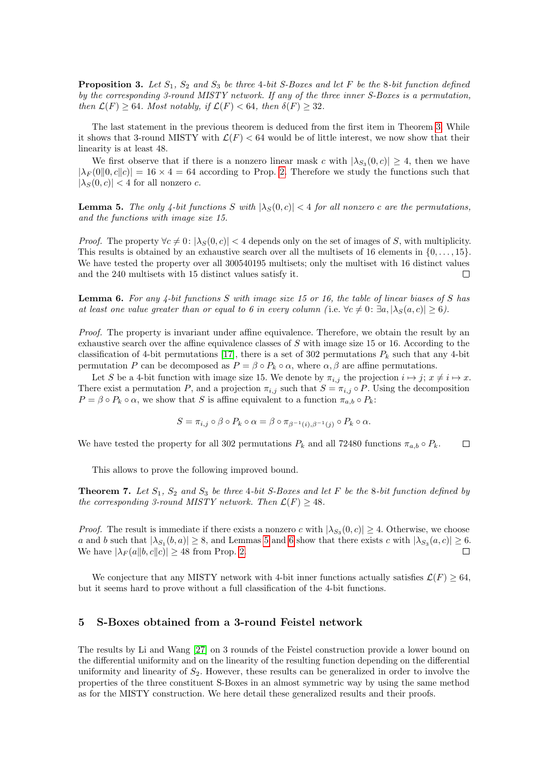**Proposition 3.** Let  $S_1$ ,  $S_2$  and  $S_3$  be three 4-bit S-Boxes and let F be the 8-bit function defined by the corresponding 3-round MISTY network. If any of the three inner S-Boxes is a permutation, then  $\mathcal{L}(F) \geq 64$ . Most notably, if  $\mathcal{L}(F) < 64$ , then  $\delta(F) \geq 32$ .

The last statement in the previous theorem is deduced from the first item in Theorem [3.](#page-7-1) While it shows that 3-round MISTY with  $\mathcal{L}(F) < 64$  would be of little interest, we now show that their linearity is at least 48.

We first observe that if there is a nonzero linear mask c with  $|\lambda_{S_3}(0, c)| \geq 4$ , then we have  $|\lambda_F(0|0,c||c)| = 16 \times 4 = 64$  according to Prop. [2.](#page-7-0) Therefore we study the functions such that  $|\lambda_S(0, c)| < 4$  for all nonzero c.

<span id="page-13-1"></span>**Lemma 5.** The only 4-bit functions S with  $|\lambda_S(0, c)| < 4$  for all nonzero c are the permutations, and the functions with image size 15.

*Proof.* The property  $\forall c \neq 0: |\lambda_S(0, c)| < 4$  depends only on the set of images of S, with multiplicity. This results is obtained by an exhaustive search over all the multisets of 16 elements in  $\{0, \ldots, 15\}$ . We have tested the property over all 300540195 multisets; only the multiset with 16 distinct values and the 240 multisets with 15 distinct values satisfy it.  $\Box$ 

<span id="page-13-2"></span>**Lemma 6.** For any 4-bit functions S with image size 15 or 16, the table of linear biases of S has at least one value greater than or equal to 6 in every column (i.e.  $\forall c \neq 0$ :  $\exists a, |\lambda_S(a, c)| \geq 6$ ).

Proof. The property is invariant under affine equivalence. Therefore, we obtain the result by an exhaustive search over the affine equivalence classes of  $S$  with image size 15 or 16. According to the classification of 4-bit permutations [\[17\]](#page-20-8), there is a set of 302 permutations  $P_k$  such that any 4-bit permutation P can be decomposed as  $P = \beta \circ P_k \circ \alpha$ , where  $\alpha, \beta$  are affine permutations.

Let S be a 4-bit function with image size 15. We denote by  $\pi_{i,j}$  the projection  $i \mapsto j$ ;  $x \neq i \mapsto x$ . There exist a permutation P, and a projection  $\pi_{i,j}$  such that  $S = \pi_{i,j} \circ P$ . Using the decomposition  $P = \beta \circ P_k \circ \alpha$ , we show that S is affine equivalent to a function  $\pi_{a,b} \circ P_k$ :

$$
S = \pi_{i,j} \circ \beta \circ P_k \circ \alpha = \beta \circ \pi_{\beta^{-1}(i),\beta^{-1}(j)} \circ P_k \circ \alpha.
$$

We have tested the property for all 302 permutations  $P_k$  and all 72480 functions  $\pi_{a,b} \circ P_k$ .  $\Box$ 

This allows to prove the following improved bound.

**Theorem 7.** Let  $S_1$ ,  $S_2$  and  $S_3$  be three 4-bit S-Boxes and let F be the 8-bit function defined by the corresponding 3-round MISTY network. Then  $\mathcal{L}(F) \geq 48$ .

*Proof.* The result is immediate if there exists a nonzero c with  $|\lambda_{S_3}(0, c)| \geq 4$ . Otherwise, we choose a and b such that  $|\lambda_{S_1}(b, a)| \geq 8$ , and Lemmas [5](#page-13-1) and [6](#page-13-2) show that there exists c with  $|\lambda_{S_3}(a, c)| \geq 6$ . We have  $|\lambda_F(a||b, c||c)| \geq 48$  from Prop. [2.](#page-7-0)  $\Box$ 

We conjecture that any MISTY network with 4-bit inner functions actually satisfies  $\mathcal{L}(F) > 64$ , but it seems hard to prove without a full classification of the 4-bit functions.

# <span id="page-13-0"></span>5 S-Boxes obtained from a 3-round Feistel network

The results by Li and Wang [\[27\]](#page-21-16) on 3 rounds of the Feistel construction provide a lower bound on the differential uniformity and on the linearity of the resulting function depending on the differential uniformity and linearity of  $S_2$ . However, these results can be generalized in order to involve the properties of the three constituent S-Boxes in an almost symmetric way by using the same method as for the MISTY construction. We here detail these generalized results and their proofs.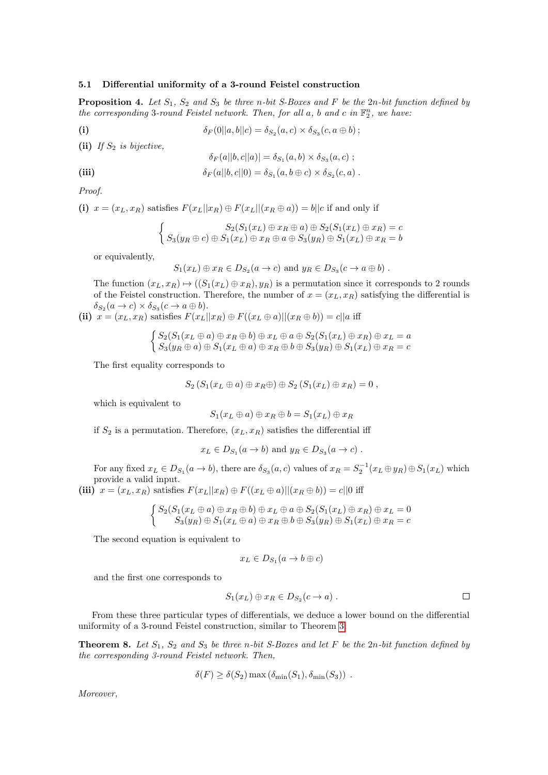# 5.1 Differential uniformity of a 3-round Feistel construction

<span id="page-14-0"></span>**Proposition 4.** Let  $S_1$ ,  $S_2$  and  $S_3$  be three n-bit S-Boxes and F be the 2n-bit function defined by the corresponding 3-round Feistel network. Then, for all  $a$ ,  $b$  and  $c$  in  $\mathbb{F}_2^n$ , we have:

$$
\delta_F(0||a,b||c) = \delta_{S_2}(a,c) \times \delta_{S_3}(c,a \oplus b);
$$

(ii) If  $S_2$  is bijective,

$$
\delta_F(a||b,c||a)| = \delta_{S_1}(a,b) \times \delta_{S_3}(a,c) ;
$$

(iii) 
$$
\delta_F(a||b,c||0) = \delta_{S_1}(a,b \oplus c) \times \delta_{S_2}(c,a).
$$

Proof.

(i)  $x = (x_L, x_R)$  satisfies  $F(x_L||x_R) \oplus F(x_L||(x_R \oplus a)) = b||c$  if and only if

$$
\begin{cases}\nS_2(S_1(x_L) \oplus x_R \oplus a) \oplus S_2(S_1(x_L) \oplus x_R) = c \\
S_3(y_R \oplus c) \oplus S_1(x_L) \oplus x_R \oplus a \oplus S_3(y_R) \oplus S_1(x_L) \oplus x_R = b\n\end{cases}
$$

or equivalently,

$$
S_1(x_L) \oplus x_R \in D_{S_2}(a \to c)
$$
 and  $y_R \in D_{S_3}(c \to a \oplus b)$ .

The function  $(x_L, x_R) \mapsto ((S_1(x_L) \oplus x_R), y_R)$  is a permutation since it corresponds to 2 rounds of the Feistel construction. Therefore, the number of  $x = (x_L, x_R)$  satisfying the differential is  $\delta_{S_2}(a \to c) \times \delta_{S_3}(c \to a \oplus b).$ 

(ii)  $x = (x_L, x_R)$  satisfies  $F(x_L||x_R) \oplus F((x_L \oplus a) || (x_R \oplus b)) = c||a$  iff

$$
\begin{cases}\nS_2(S_1(x_L \oplus a) \oplus x_R \oplus b) \oplus x_L \oplus a \oplus S_2(S_1(x_L) \oplus x_R) \oplus x_L = a \\
S_3(y_R \oplus a) \oplus S_1(x_L \oplus a) \oplus x_R \oplus b \oplus S_3(y_R) \oplus S_1(x_L) \oplus x_R = c\n\end{cases}
$$

The first equality corresponds to

$$
S_2(S_1(x_L \oplus a) \oplus x_R \oplus) \oplus S_2(S_1(x_L) \oplus x_R) = 0,
$$

which is equivalent to

$$
S_1(x_L \oplus a) \oplus x_R \oplus b = S_1(x_L) \oplus x_R
$$

if  $S_2$  is a permutation. Therefore,  $(x_L, x_R)$  satisfies the differential iff

$$
x_L \in D_{S_1}(a \to b)
$$
 and  $y_R \in D_{S_3}(a \to c)$ .

For any fixed  $x_L \in D_{S_1}(a \to b)$ , there are  $\delta_{S_3}(a, c)$  values of  $x_R = S_2^{-1}(x_L \oplus y_R) \oplus S_1(x_L)$  which provide a valid input.

(iii)  $x = (x_L, x_R)$  satisfies  $F(x_L||x_R) \oplus F((x_L \oplus a)||(x_R \oplus b)) = c||0$  iff

$$
\begin{cases}\nS_2(S_1(x_L \oplus a) \oplus x_R \oplus b) \oplus x_L \oplus a \oplus S_2(S_1(x_L) \oplus x_R) \oplus x_L = 0 \\
S_3(y_R) \oplus S_1(x_L \oplus a) \oplus x_R \oplus b \oplus S_3(y_R) \oplus S_1(x_L) \oplus x_R = c\n\end{cases}
$$

The second equation is equivalent to

$$
x_L \in D_{S_1}(a \to b \oplus c)
$$

and the first one corresponds to

$$
S_1(x_L) \oplus x_R \in D_{S_2}(c \to a) . \square
$$

From these three particular types of differentials, we deduce a lower bound on the differential uniformity of a 3-round Feistel construction, similar to Theorem [3.](#page-7-1)

**Theorem 8.** Let  $S_1$ ,  $S_2$  and  $S_3$  be three n-bit S-Boxes and let F be the 2n-bit function defined by the corresponding 3-round Feistel network. Then,

$$
\delta(F) \ge \delta(S_2) \max(\delta_{\min}(S_1), \delta_{\min}(S_3)) \ .
$$

Moreover,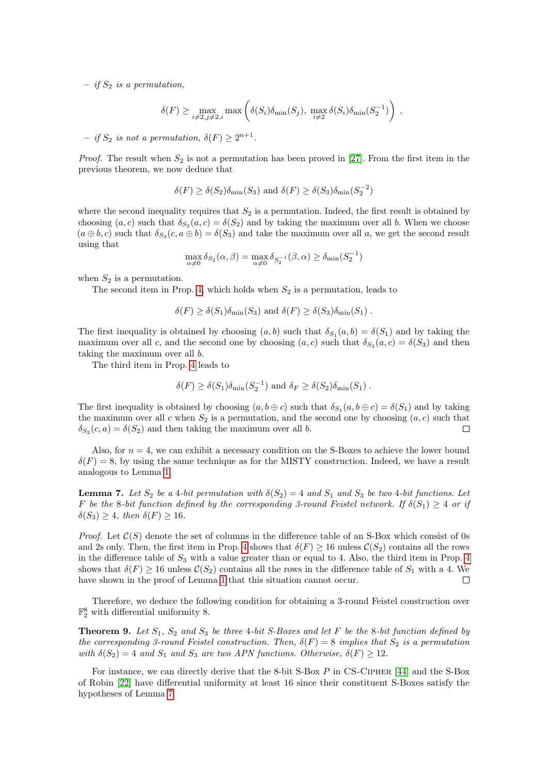– if  $S_2$  is a permutation,

$$
\delta(F) \ge \max_{i \neq 2, j \neq 2, i} \max \left( \delta(S_i) \delta_{\min}(S_j), \max_{i \neq 2} \delta(S_i) \delta_{\min}(S_2^{-1}) \right) ,
$$

 $-$  if  $S_2$  is not a permutation,  $\delta(F) \geq 2^{n+1}$ .

*Proof.* The result when  $S_2$  is not a permutation has been proved in [\[27\]](#page-21-16). From the first item in the previous theorem, we now deduce that

$$
\delta(F) \ge \delta(S_2)\delta_{\min}(S_3)
$$
 and  $\delta(F) \ge \delta(S_3)\delta_{\min}(S_2^{-2})$ 

where the second inequality requires that  $S_2$  is a permutation. Indeed, the first result is obtained by choosing  $(a, c)$  such that  $\delta_{S_2}(a, c) = \delta(S_2)$  and by taking the maximum over all b. When we choose  $(a \oplus b, c)$  such that  $\delta_{S_3}(c, a \oplus b) = \delta(S_3)$  and take the maximum over all a, we get the second result using that

$$
\max_{\alpha \neq 0} \delta_{S_2}(\alpha, \beta) = \max_{\alpha \neq 0} \delta_{S_2^{-1}}(\beta, \alpha) \ge \delta_{\min}(S_2^{-1})
$$

when  $S_2$  is a permutation.

The second item in Prop. [4,](#page-14-0) which holds when  $S_2$  is a permutation, leads to

$$
\delta(F) \ge \delta(S_1)\delta_{\min}(S_3)
$$
 and  $\delta(F) \ge \delta(S_3)\delta_{\min}(S_1)$ .

The first inequality is obtained by choosing  $(a, b)$  such that  $\delta_{S_1}(a, b) = \delta(S_1)$  and by taking the maximum over all c, and the second one by choosing  $(a, c)$  such that  $\delta_{S_3}(a, c) = \delta(S_3)$  and then taking the maximum over all b.

The third item in Prop. [4](#page-14-0) leads to

$$
\delta(F) \ge \delta(S_1) \delta_{\min}(S_2^{-1})
$$
 and  $\delta_F \ge \delta(S_2) \delta_{\min}(S_1)$ .

The first inequality is obtained by choosing  $(a, b \oplus c)$  such that  $\delta_{S_1}(a, b \oplus c) = \delta(S_1)$  and by taking the maximum over all c when  $S_2$  is a permutation, and the second one by choosing  $(a, c)$  such that  $\delta_{S_2}(c, a) = \delta(S_2)$  and then taking the maximum over all b.  $\Box$ 

Also, for  $n = 4$ , we can exhibit a necessary condition on the S-Boxes to achieve the lower bound  $\delta(F) = 8$ , by using the same technique as for the MISTY construction. Indeed, we have a result analogous to Lemma [1.](#page-10-0)

<span id="page-15-0"></span>**Lemma 7.** Let  $S_2$  be a 4-bit permutation with  $\delta(S_2) = 4$  and  $S_1$  and  $S_3$  be two 4-bit functions. Let F be the 8-bit function defined by the corresponding 3-round Feistel network. If  $\delta(S_1) \geq 4$  or if  $\delta(S_3) \geq 4$ , then  $\delta(F) \geq 16$ .

*Proof.* Let  $\mathcal{C}(S)$  denote the set of columns in the difference table of an S-Box which consist of 0s and 2s only. Then, the first item in Prop. [4](#page-14-0) shows that  $\delta(F) \ge 16$  unless  $\mathcal{C}(S_2)$  contains all the rows in the difference table of  $S_3$  with a value greater than or equal to [4](#page-14-0). Also, the third item in Prop. 4 shows that  $\delta(F) \ge 16$  unless  $\mathcal{C}(S_2)$  contains all the rows in the difference table of  $S_1$  with a 4. We have shown in the proof of Lemma [1](#page-10-0) that this situation cannot occur.  $\Box$ 

<span id="page-15-1"></span>Therefore, we deduce the following condition for obtaining a 3-round Feistel construction over  $\mathbb{F}_2^8$  with differential uniformity 8.

**Theorem 9.** Let  $S_1$ ,  $S_2$  and  $S_3$  be three 4-bit S-Boxes and let F be the 8-bit function defined by the corresponding 3-round Feistel construction. Then,  $\delta(F) = 8$  implies that  $S_2$  is a permutation with  $\delta(S_2) = 4$  and  $S_1$  and  $S_3$  are two APN functions. Otherwise,  $\delta(F) \ge 12$ .

For instance, we can directly derive that the 8-bit S-Box P in CS-Cipher [\[44\]](#page-21-25) and the S-Box of Robin [\[22\]](#page-21-7) have differential uniformity at least 16 since their constituent S-Boxes satisfy the hypotheses of Lemma [7.](#page-15-0)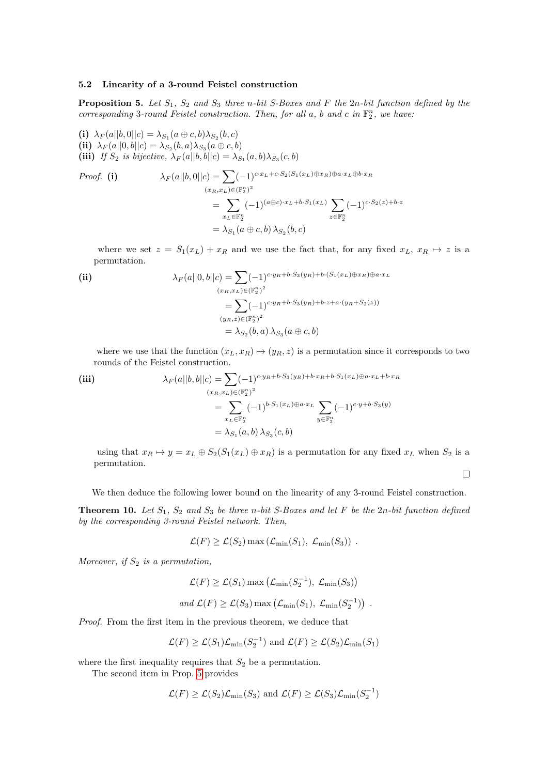# 5.2 Linearity of a 3-round Feistel construction

<span id="page-16-0"></span>**Proposition 5.** Let  $S_1$ ,  $S_2$  and  $S_3$  three n-bit S-Boxes and F the 2n-bit function defined by the corresponding 3-round Feistel construction. Then, for all  $a$ ,  $b$  and  $c$  in  $\mathbb{F}_2^n$ , we have:

(i)  $\lambda_F(a||b,0||c) = \lambda_{S_1}(a \oplus c, b)\lambda_{S_2}(b, c)$ (ii)  $\lambda_F(a||0, b||c) = \lambda_{S_2}(b, a)\lambda_{S_3}(a \oplus c, b)$ (iii) If  $S_2$  is bijective,  $\lambda_F(a||b, b||c) = \lambda_{S_1}(a, b)\lambda_{S_3}(c, b)$ 

Proof. (i)  
\n
$$
\lambda_F(a||b,0||c) = \sum (-1)^{c \cdot x_L + c \cdot S_2(S_1(x_L) \oplus x_R) \oplus a \cdot x_L \oplus b \cdot x_R}
$$
\n
$$
= \sum_{x_L \in \mathbb{F}_2^n} (-1)^{(a \oplus c) \cdot x_L + b \cdot S_1(x_L)} \sum_{z \in \mathbb{F}_2^n} (-1)^{c \cdot S_2(z) + b \cdot z}
$$
\n
$$
= \lambda_{S_1}(a \oplus c, b) \lambda_{S_2}(b, c)
$$

where we set  $z = S_1(x_L) + x_R$  and we use the fact that, for any fixed  $x_L, x_R \mapsto z$  is a permutation.

(ii)  
\n
$$
\lambda_F(a||0, b||c) = \sum (-1)^{c \cdot y_R + b \cdot S_3(y_R) + b \cdot (S_1(x_L) \oplus x_R) \oplus a \cdot x_L}
$$
\n
$$
= \sum (-1)^{c \cdot y_R + b \cdot S_3(y_R) + b \cdot z + a \cdot (y_R + S_2(z))}
$$
\n
$$
(y_R, z) \in (\mathbb{F}_2^n)^2
$$
\n
$$
= \lambda_{S_2}(b, a) \lambda_{S_3}(a \oplus c, b)
$$

where we use that the function  $(x_L, x_R) \mapsto (y_R, z)$  is a permutation since it corresponds to two rounds of the Feistel construction.

(iii)  
\n
$$
\lambda_F(a||b, b||c) = \sum (-1)^{c \cdot y_R + b \cdot S_3(y_R) + b \cdot x_R + b \cdot S_1(x_L) \oplus a \cdot x_L + b \cdot x_R}
$$
\n
$$
= \sum_{x_L \in \mathbb{F}_2^n} (-1)^{b \cdot S_1(x_L) \oplus a \cdot x_L} \sum_{y \in \mathbb{F}_2^n} (-1)^{c \cdot y + b \cdot S_3(y)}
$$
\n
$$
= \lambda_{S_1}(a, b) \lambda_{S_3}(c, b)
$$

using that  $x_R \mapsto y = x_L \oplus S_2(S_1(x_L) \oplus x_R)$  is a permutation for any fixed  $x_L$  when  $S_2$  is a permutation.

 $\Box$ 

We then deduce the following lower bound on the linearity of any 3-round Feistel construction.

**Theorem 10.** Let  $S_1$ ,  $S_2$  and  $S_3$  be three n-bit S-Boxes and let F be the 2n-bit function defined by the corresponding 3-round Feistel network. Then,

$$
\mathcal{L}(F) \ge \mathcal{L}(S_2) \max(\mathcal{L}_{\min}(S_1), \mathcal{L}_{\min}(S_3))
$$
.

Moreover, if  $S_2$  is a permutation,

$$
\mathcal{L}(F) \ge \mathcal{L}(S_1) \max \left( \mathcal{L}_{\min}(S_2^{-1}), \mathcal{L}_{\min}(S_3) \right)
$$
  
and  $\mathcal{L}(F) \ge \mathcal{L}(S_3) \max \left( \mathcal{L}_{\min}(S_1), \mathcal{L}_{\min}(S_2^{-1}) \right)$ .

Proof. From the first item in the previous theorem, we deduce that

$$
\mathcal{L}(F) \ge \mathcal{L}(S_1)\mathcal{L}_{\min}(S_2^{-1})
$$
 and  $\mathcal{L}(F) \ge \mathcal{L}(S_2)\mathcal{L}_{\min}(S_1)$ 

where the first inequality requires that  $S_2$  be a permutation.

The second item in Prop. [5](#page-16-0) provides

$$
\mathcal{L}(F) \ge \mathcal{L}(S_2)\mathcal{L}_{\min}(S_3)
$$
 and  $\mathcal{L}(F) \ge \mathcal{L}(S_3)\mathcal{L}_{\min}(S_2^{-1})$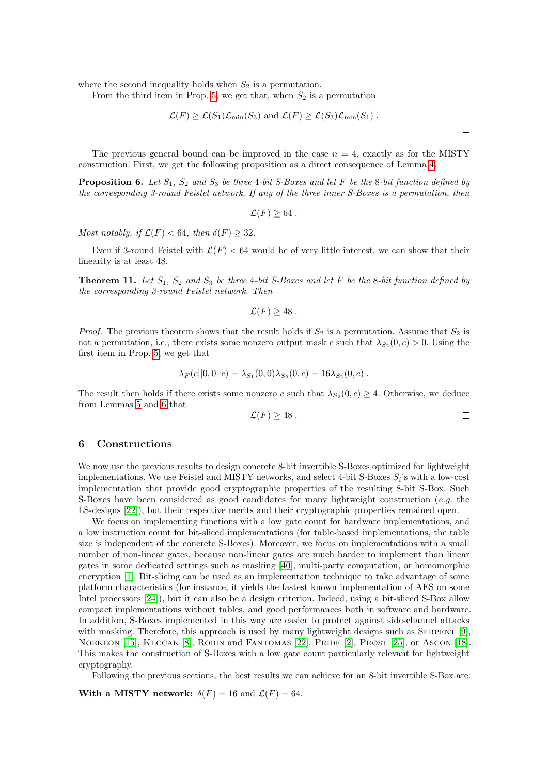where the second inequality holds when  $S_2$  is a permutation.

From the third item in Prop. [5,](#page-16-0) we get that, when  $S_2$  is a permutation

$$
\mathcal{L}(F) \ge \mathcal{L}(S_1)\mathcal{L}_{\min}(S_3)
$$
 and  $\mathcal{L}(F) \ge \mathcal{L}(S_3)\mathcal{L}_{\min}(S_1)$ .

The previous general bound can be improved in the case  $n = 4$ , exactly as for the MISTY construction. First, we get the following proposition as a direct consequence of Lemma [4.](#page-12-0)

**Proposition 6.** Let  $S_1$ ,  $S_2$  and  $S_3$  be three 4-bit S-Boxes and let F be the 8-bit function defined by the corresponding 3-round Feistel network. If any of the three inner S-Boxes is a permutation, then

$$
\mathcal{L}(F) \geq 64.
$$

Most notably, if  $\mathcal{L}(F) < 64$ , then  $\delta(F) \geq 32$ .

Even if 3-round Feistel with  $\mathcal{L}(F) < 64$  would be of very little interest, we can show that their linearity is at least 48.

**Theorem 11.** Let  $S_1$ ,  $S_2$  and  $S_3$  be three 4-bit S-Boxes and let F be the 8-bit function defined by the corresponding 3-round Feistel network. Then

$$
\mathcal{L}(F) \geq 48.
$$

*Proof.* The previous theorem shows that the result holds if  $S_2$  is a permutation. Assume that  $S_2$  is not a permutation, i.e., there exists some nonzero output mask c such that  $\lambda_{S_2}(0, c) > 0$ . Using the first item in Prop. [5,](#page-16-0) we get that

$$
\lambda_F(c||0,0||c) = \lambda_{S_1}(0,0)\lambda_{S_2}(0,c) = 16\lambda_{S_2}(0,c).
$$

The result then holds if there exists some nonzero c such that  $\lambda_{S_2}(0, c) \geq 4$ . Otherwise, we deduce from Lemmas [5](#page-13-1) and [6](#page-13-2) that

$$
\mathcal{L}(F) \ge 48 \ .
$$

 $\Box$ 

## <span id="page-17-0"></span>6 Constructions

We now use the previous results to design concrete 8-bit invertible S-Boxes optimized for lightweight implementations. We use Feistel and MISTY networks, and select 4-bit S-Boxes  $S_i$ 's with a low-cost implementation that provide good cryptographic properties of the resulting 8-bit S-Box. Such S-Boxes have been considered as good candidates for many lightweight construction (e.g. the LS-designs [\[22\]](#page-21-7)), but their respective merits and their cryptographic properties remained open.

We focus on implementing functions with a low gate count for hardware implementations, and a low instruction count for bit-sliced implementations (for table-based implementations, the table size is independent of the concrete S-Boxes). Moreover, we focus on implementations with a small number of non-linear gates, because non-linear gates are much harder to implement than linear gates in some dedicated settings such as masking [\[40\]](#page-21-26), multi-party computation, or homomorphic encryption [\[1\]](#page-20-7). Bit-slicing can be used as an implementation technique to take advantage of some platform characteristics (for instance, it yields the fastest known implementation of AES on some Intel processors [\[24\]](#page-21-1)), but it can also be a design criterion. Indeed, using a bit-sliced S-Box allow compact implementations without tables, and good performances both in software and hardware. In addition, S-Boxes implemented in this way are easier to protect against side-channel attacks with masking. Therefore, this approach is used by many lightweight designs such as SERPENT [\[9\]](#page-20-15), NOEKEON [\[15\]](#page-20-2), KECCAK [\[8\]](#page-20-16), ROBIN and FANTOMAS [\[22\]](#page-21-7), PRIDE [\[2\]](#page-20-6), PRØST [\[25\]](#page-21-27), or ASCON [\[18\]](#page-20-17). This makes the construction of S-Boxes with a low gate count particularly relevant for lightweight cryptography.

Following the previous sections, the best results we can achieve for an 8-bit invertible S-Box are:

With a MISTY network:  $\delta(F) = 16$  and  $\mathcal{L}(F) = 64$ .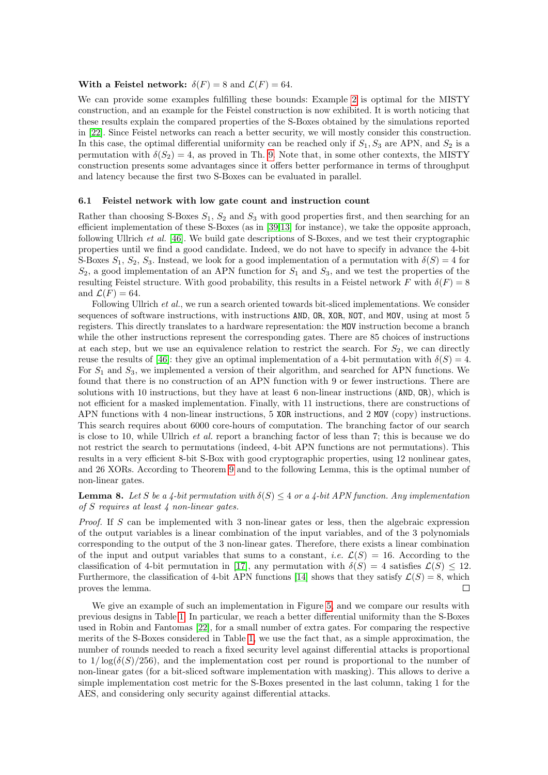#### With a Feistel network:  $\delta(F) = 8$  and  $\mathcal{L}(F) = 64$ .

We can provide some examples fulfilling these bounds: Example [2](#page-11-1) is optimal for the MISTY construction, and an example for the Feistel construction is now exhibited. It is worth noticing that these results explain the compared properties of the S-Boxes obtained by the simulations reported in [\[22\]](#page-21-7). Since Feistel networks can reach a better security, we will mostly consider this construction. In this case, the optimal differential uniformity can be reached only if  $S_1, S_3$  are APN, and  $S_2$  is a permutation with  $\delta(S_2) = 4$ , as proved in Th. [9.](#page-15-1) Note that, in some other contexts, the MISTY construction presents some advantages since it offers better performance in terms of throughput and latency because the first two S-Boxes can be evaluated in parallel.

#### 6.1 Feistel network with low gate count and instruction count

Rather than choosing S-Boxes  $S_1$ ,  $S_2$  and  $S_3$  with good properties first, and then searching for an efficient implementation of these S-Boxes (as in [\[39](#page-21-28)[,13\]](#page-20-1) for instance), we take the opposite approach, following Ullrich et al. [\[46\]](#page-21-29). We build gate descriptions of S-Boxes, and we test their cryptographic properties until we find a good candidate. Indeed, we do not have to specify in advance the 4-bit S-Boxes  $S_1$ ,  $S_2$ ,  $S_3$ . Instead, we look for a good implementation of a permutation with  $\delta(S) = 4$  for  $S_2$ , a good implementation of an APN function for  $S_1$  and  $S_3$ , and we test the properties of the resulting Feistel structure. With good probability, this results in a Feistel network F with  $\delta(F) = 8$ and  $\mathcal{L}(F) = 64$ .

Following Ullrich *et al.*, we run a search oriented towards bit-sliced implementations. We consider sequences of software instructions, with instructions AND, OR, XOR, NOT, and MOV, using at most 5 registers. This directly translates to a hardware representation: the MOV instruction become a branch while the other instructions represent the corresponding gates. There are 85 choices of instructions at each step, but we use an equivalence relation to restrict the search. For  $S_2$ , we can directly reuse the results of [\[46\]](#page-21-29): they give an optimal implementation of a 4-bit permutation with  $\delta(S) = 4$ . For  $S_1$  and  $S_3$ , we implemented a version of their algorithm, and searched for APN functions. We found that there is no construction of an APN function with 9 or fewer instructions. There are solutions with 10 instructions, but they have at least 6 non-linear instructions (AND, OR), which is not efficient for a masked implementation. Finally, with 11 instructions, there are constructions of APN functions with 4 non-linear instructions, 5 XOR instructions, and 2 MOV (copy) instructions. This search requires about 6000 core-hours of computation. The branching factor of our search is close to 10, while Ullrich *et al.* report a branching factor of less than 7; this is because we do not restrict the search to permutations (indeed, 4-bit APN functions are not permutations). This results in a very efficient 8-bit S-Box with good cryptographic properties, using 12 nonlinear gates, and 26 XORs. According to Theorem [9](#page-15-1) and to the following Lemma, this is the optimal number of non-linear gates.

# **Lemma 8.** Let S be a 4-bit permutation with  $\delta(S) \leq 4$  or a 4-bit APN function. Any implementation of S requires at least 4 non-linear gates.

Proof. If S can be implemented with 3 non-linear gates or less, then the algebraic expression of the output variables is a linear combination of the input variables, and of the 3 polynomials corresponding to the output of the 3 non-linear gates. Therefore, there exists a linear combination of the input and output variables that sums to a constant, *i.e.*  $\mathcal{L}(S) = 16$ . According to the classification of 4-bit permutation in [\[17\]](#page-20-8), any permutation with  $\delta(S) = 4$  satisfies  $\mathcal{L}(S) \leq 12$ . Furthermore, the classification of 4-bit APN functions [\[14\]](#page-20-18) shows that they satisfy  $\mathcal{L}(S) = 8$ , which proves the lemma.  $\Box$ 

We give an example of such an implementation in Figure [5,](#page-19-0) and we compare our results with previous designs in Table [1.](#page-20-19) In particular, we reach a better differential uniformity than the S-Boxes used in Robin and Fantomas [\[22\]](#page-21-7), for a small number of extra gates. For comparing the respective merits of the S-Boxes considered in Table [1,](#page-20-19) we use the fact that, as a simple approximation, the number of rounds needed to reach a fixed security level against differential attacks is proportional to  $1/\log(\delta(S)/256)$ , and the implementation cost per round is proportional to the number of non-linear gates (for a bit-sliced software implementation with masking). This allows to derive a simple implementation cost metric for the S-Boxes presented in the last column, taking 1 for the AES, and considering only security against differential attacks.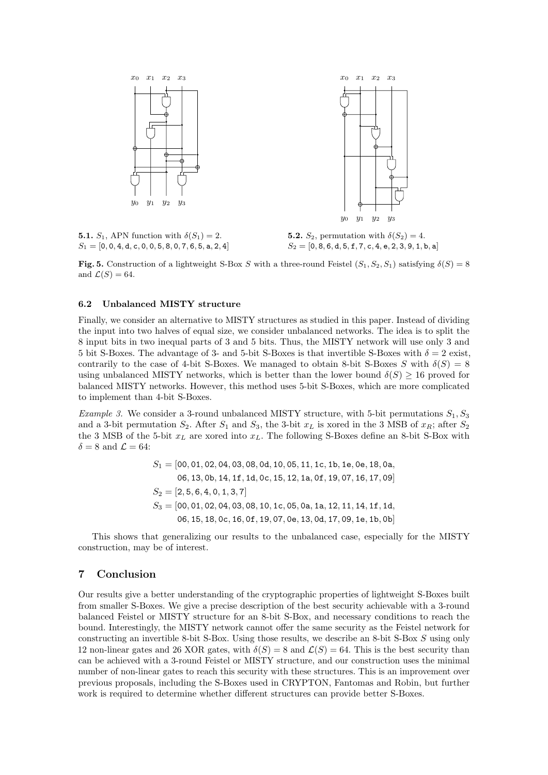

<span id="page-19-0"></span>**5.1.**  $S_1$ , APN function with  $\delta(S_1) = 2$ .  $S_1 = [0, 0, 4, d, c, 0, 0, 5, 8, 0, 7, 6, 5, a, 2, 4]$ 

**5.2.**  $S_2$ , permutation with  $\delta(S_2) = 4$ .  $S_2=[0,8,6,\mathrm{d},5,\mathrm{f},7,\mathrm{c},4,\mathrm{e},2,3,9,1,\mathrm{b},\mathrm{a}]$ 

Fig. 5. Construction of a lightweight S-Box S with a three-round Feistel  $(S_1, S_2, S_1)$  satisfying  $\delta(S) = 8$ and  $\mathcal{L}(S) = 64$ .

#### 6.2 Unbalanced MISTY structure

Finally, we consider an alternative to MISTY structures as studied in this paper. Instead of dividing the input into two halves of equal size, we consider unbalanced networks. The idea is to split the 8 input bits in two inequal parts of 3 and 5 bits. Thus, the MISTY network will use only 3 and 5 bit S-Boxes. The advantage of 3- and 5-bit S-Boxes is that invertible S-Boxes with  $\delta = 2$  exist, contrarily to the case of 4-bit S-Boxes. We managed to obtain 8-bit S-Boxes S with  $\delta(S) = 8$ using unbalanced MISTY networks, which is better than the lower bound  $\delta(S) \geq 16$  proved for balanced MISTY networks. However, this method uses 5-bit S-Boxes, which are more complicated to implement than 4-bit S-Boxes.

*Example 3.* We consider a 3-round unbalanced MISTY structure, with 5-bit permutations  $S_1, S_3$ and a 3-bit permutation  $S_2$ . After  $S_1$  and  $S_3$ , the 3-bit  $x_L$  is xored in the 3 MSB of  $x_R$ ; after  $S_2$ the 3 MSB of the 5-bit  $x_L$  are xored into  $x_L$ . The following S-Boxes define an 8-bit S-Box with  $\delta = 8$  and  $\mathcal{L} = 64$ :

$$
S_1 = [00, 01, 02, 04, 03, 08, 0d, 10, 05, 11, 1c, 1b, 1e, 0e, 18, 0a, 06, 13, 0b, 14, 1f, 1d, 0c, 15, 12, 1a, 0f, 19, 07, 16, 17, 09]
$$
  
\n
$$
S_2 = [2, 5, 6, 4, 0, 1, 3, 7]
$$
  
\n
$$
S_3 = [00, 01, 02, 04, 03, 08, 10, 1c, 05, 0a, 1a, 12, 11, 14, 1f, 1d, 06, 15, 18, 0c, 16, 0f, 19, 07, 0e, 13, 0d, 17, 09, 1e, 1b, 0b]
$$

This shows that generalizing our results to the unbalanced case, especially for the MISTY construction, may be of interest.

## 7 Conclusion

Our results give a better understanding of the cryptographic properties of lightweight S-Boxes built from smaller S-Boxes. We give a precise description of the best security achievable with a 3-round balanced Feistel or MISTY structure for an 8-bit S-Box, and necessary conditions to reach the bound. Interestingly, the MISTY network cannot offer the same security as the Feistel network for constructing an invertible 8-bit S-Box. Using those results, we describe an 8-bit S-Box S using only 12 non-linear gates and 26 XOR gates, with  $\delta(S) = 8$  and  $\mathcal{L}(S) = 64$ . This is the best security than can be achieved with a 3-round Feistel or MISTY structure, and our construction uses the minimal number of non-linear gates to reach this security with these structures. This is an improvement over previous proposals, including the S-Boxes used in CRYPTON, Fantomas and Robin, but further work is required to determine whether different structures can provide better S-Boxes.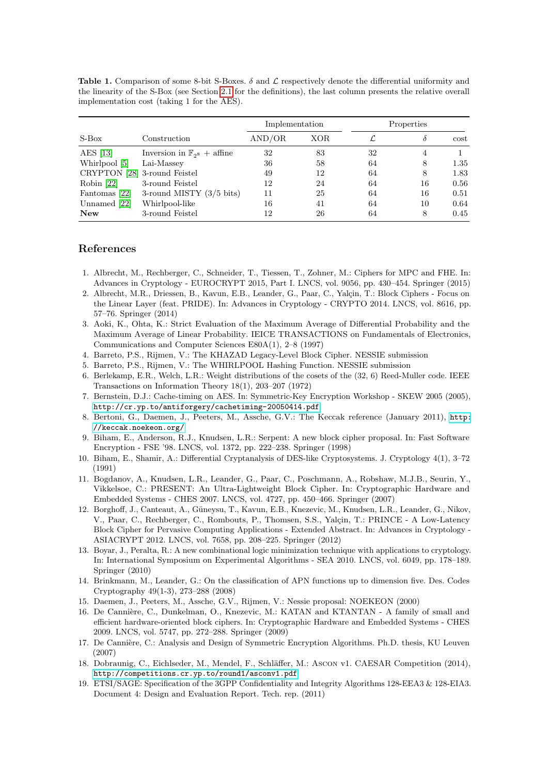<span id="page-20-19"></span>Table 1. Comparison of some 8-bit S-Boxes.  $\delta$  and  $\mathcal L$  respectively denote the differential uniformity and the linearity of the S-Box (see Section [2.1](#page-1-0) for the definitions), the last column presents the relative overall implementation cost (taking 1 for the AES).

|                              |                                         | Implementation |     | Properties |    |        |
|------------------------------|-----------------------------------------|----------------|-----|------------|----|--------|
| $S-Box$                      | Construction                            | AND/OR         | XOR |            | δ  | $\cot$ |
| AES $[13]$                   | Inversion in $\mathbb{F}_{28}$ + affine | 32             | 83  | 32         | 4  |        |
| Whirlpool [5]                | $Lai-Massev$                            | 36             | 58  | 64         | 8  | 1.35   |
| CRYPTON [28] 3-round Feistel |                                         | 49             | 12  | 64         | 8  | 1.83   |
| Robin $[22]$                 | 3-round Feistel                         | 12             | 24  | 64         | 16 | 0.56   |
| Fantomas [22]                | 3-round MISTY $(3/5 \text{ bits})$      | 11             | 25  | 64         | 16 | 0.51   |
| Unnamed $[22]$               | Whirlpool-like                          | 16             | 41  | 64         | 10 | 0.64   |
| <b>New</b>                   | 3-round Feistel                         | 12             | 26  | 64         | 8  | 0.45   |

# References

- <span id="page-20-7"></span>1. Albrecht, M., Rechberger, C., Schneider, T., Tiessen, T., Zohner, M.: Ciphers for MPC and FHE. In: Advances in Cryptology - EUROCRYPT 2015, Part I. LNCS, vol. 9056, pp. 430–454. Springer (2015)
- <span id="page-20-6"></span>2. Albrecht, M.R., Driessen, B., Kavun, E.B., Leander, G., Paar, C., Yalçin, T.: Block Ciphers - Focus on the Linear Layer (feat. PRIDE). In: Advances in Cryptology - CRYPTO 2014. LNCS, vol. 8616, pp. 57–76. Springer (2014)
- <span id="page-20-11"></span>3. Aoki, K., Ohta, K.: Strict Evaluation of the Maximum Average of Differential Probability and the Maximum Average of Linear Probability. IEICE TRANSACTIONS on Fundamentals of Electronics, Communications and Computer Sciences E80A(1), 2–8 (1997)
- <span id="page-20-10"></span>4. Barreto, P.S., Rijmen, V.: The KHAZAD Legacy-Level Block Cipher. NESSIE submission
- <span id="page-20-9"></span>5. Barreto, P.S., Rijmen, V.: The WHIRLPOOL Hashing Function. NESSIE submission
- <span id="page-20-14"></span>6. Berlekamp, E.R., Welch, L.R.: Weight distributions of the cosets of the (32, 6) Reed-Muller code. IEEE Transactions on Information Theory 18(1), 203–207 (1972)
- <span id="page-20-0"></span>7. Bernstein, D.J.: Cache-timing on AES. In: Symmetric-Key Encryption Workshop - SKEW 2005 (2005), <http://cr.yp.to/antiforgery/cachetiming-20050414.pdf>
- <span id="page-20-16"></span>8. Bertoni, G., Daemen, J., Peeters, M., Assche, G.V.: The Keccak reference (January 2011), [http:](http://keccak.noekeon.org/) [//keccak.noekeon.org/](http://keccak.noekeon.org/)
- <span id="page-20-15"></span>9. Biham, E., Anderson, R.J., Knudsen, L.R.: Serpent: A new block cipher proposal. In: Fast Software Encryption - FSE '98. LNCS, vol. 1372, pp. 222–238. Springer (1998)
- <span id="page-20-12"></span>10. Biham, E., Shamir, A.: Differential Cryptanalysis of DES-like Cryptosystems. J. Cryptology 4(1), 3–72 (1991)
- <span id="page-20-3"></span>11. Bogdanov, A., Knudsen, L.R., Leander, G., Paar, C., Poschmann, A., Robshaw, M.J.B., Seurin, Y., Vikkelsoe, C.: PRESENT: An Ultra-Lightweight Block Cipher. In: Cryptographic Hardware and Embedded Systems - CHES 2007. LNCS, vol. 4727, pp. 450–466. Springer (2007)
- <span id="page-20-5"></span>12. Borghoff, J., Canteaut, A., Güneysu, T., Kavun, E.B., Knezevic, M., Knudsen, L.R., Leander, G., Nikov, V., Paar, C., Rechberger, C., Rombouts, P., Thomsen, S.S., Yalçin, T.: PRINCE - A Low-Latency Block Cipher for Pervasive Computing Applications - Extended Abstract. In: Advances in Cryptology - ASIACRYPT 2012. LNCS, vol. 7658, pp. 208–225. Springer (2012)
- <span id="page-20-1"></span>13. Boyar, J., Peralta, R.: A new combinational logic minimization technique with applications to cryptology. In: International Symposium on Experimental Algorithms - SEA 2010. LNCS, vol. 6049, pp. 178–189. Springer (2010)
- <span id="page-20-18"></span>14. Brinkmann, M., Leander, G.: On the classification of APN functions up to dimension five. Des. Codes Cryptography 49(1-3), 273–288 (2008)
- <span id="page-20-2"></span>15. Daemen, J., Peeters, M., Assche, G.V., Rijmen, V.: Nessie proposal: NOEKEON (2000)
- <span id="page-20-4"></span>16. De Cannière, C., Dunkelman, O., Knezevic, M.: KATAN and KTANTAN - A family of small and efficient hardware-oriented block ciphers. In: Cryptographic Hardware and Embedded Systems - CHES 2009. LNCS, vol. 5747, pp. 272–288. Springer (2009)
- <span id="page-20-8"></span>17. De Cannière, C.: Analysis and Design of Symmetric Encryption Algorithms. Ph.D. thesis, KU Leuven (2007)
- <span id="page-20-17"></span>18. Dobraunig, C., Eichlseder, M., Mendel, F., Schläffer, M.: Ascon v1. CAESAR Competition (2014), <http://competitions.cr.yp.to/round1/asconv1.pdf>
- <span id="page-20-13"></span>19. ETSI/SAGE: Specification of the 3GPP Confidentiality and Integrity Algorithms 128-EEA3 & 128-EIA3. Document 4: Design and Evaluation Report. Tech. rep. (2011)